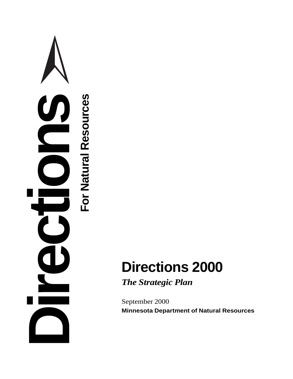

*The Strategic Plan*

September 2000 **Minnesota Department of Natural Resources**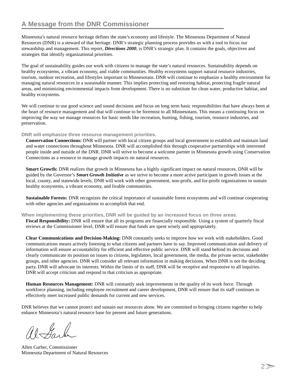Minnesota's natural resource heritage defines the state's economy and lifestyle. The Minnesota Department of Natural Resources (DNR) is a steward of that heritage. DNR's strategic planning process provides us with a tool to focus our stewardship and management. This report, *Directions 2000*, is DNR's strategic plan. It contains the goals, objectives and strategies that identify organizational priorities.

The goal of sustainability guides our work with citizens to manage the state's natural resources. Sustainability depends on healthy ecosystems, a vibrant economy, and viable communities. Healthy ecosystems support natural resource industries, tourism, outdoor recreation, and lifestyles important to Minnesotans. DNR will continue to emphasize a healthy environment for managing natural resources in a sustainable manner. This implies protecting and restoring habitat, protecting fragile natural areas, and minimizing environmental impacts from development. There is no substitute for clean water, productive habitat, and healthy ecosystems.

We will continue to use good science and sound decisions and focus on long term basic responsibilities that have always been at the heart of resource management and that will continue to be foremost to all Minnesotans. This means a continuing focus on improving the way we manage resources for basic needs like recreation, hunting, fishing, tourism, resource industries, and preservation.

**DNR will emphasize three resource management priorities.**

**Conservation Connections:** DNR will partner with local citizen groups and local government to establish and maintain land and water connections throughout Minnesota. DNR will accomplished this through cooperative partnerships with interested people inside and outside of the DNR. DNR will strive to become a welcome partner in Minnesota growth using Conservation Connections as a resource to manage growth impacts on natural resources.

**Smart Growth:** DNR realizes that growth in Minnesota has a highly significant impact on natural resources. DNR will be guided by the Governor's *Smart Growth Initiative* as we strive to become a more active participant in growth issues at the local, county, and statewide levels. DNR will work with other government, non-profit, and for-profit organizations to sustain healthy ecosystems, a vibrant economy, and livable communities.

**Sustainable Forests:** DNR recognizes the critical importance of sustainable forest ecosystems and will continue cooperating with other agencies and organizations to accomplish that end.

**When implementing these priorities, DNR will be guided by an increased focus on three areas.**

**Fiscal Responsibility:** DNR will ensure that all its programs are financially responsible. Using a system of quarterly fiscal reviews at the Commissioner level, DNR will ensure that funds are spent wisely and appropriately.

**Clear Communications and Decision-Making:** DNR constantly seeks to improve how we work with stakeholders. Good communications means actively listening to what citizens and partners have to say. Improved communication and delivery of information will ensure accountability for efficient and effective public service. DNR will stand behind its decisions and clearly communicate its position on issues to citizens, legislators, local government, the media, the private sector, stakeholder groups, and other agencies. DNR will consider all relevant information in making decisions. When DNR is not the deciding party, DNR will advocate its interests. Within the limits of its staff, DNR will be receptive and responsive to all inquiries. DNR will accept criticism and respond to that criticism as appropriate.

**Human Resources Management:** DNR will constantly seek improvements in the quality of its work force. Through workforce planning, including employee recruitment and career development, DNR will ensure that its staff continues to effectively meet increased public demands for current and new services.

DNR believes that we cannot protect and sustain our resources alone. We are committed to bringing citizens together to help enhance Minnesota's natural resource base for present and future generations.

alfarla

Allen Garber, Commissioner Minnesota Department of Natural Resources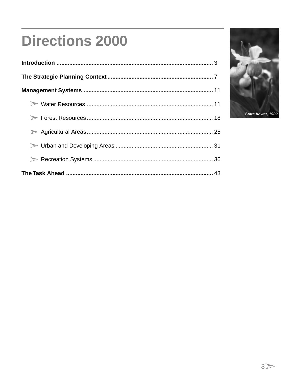# **Directions 2000**

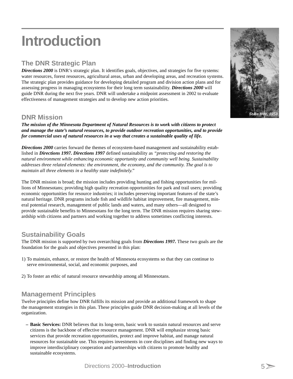# **Introduction**

# **The DNR Strategic Plan**

*Directions 2000* is DNR's strategic plan. It identifies goals, objectives, and strategies for five systems: water resources, forest resources, agricultural areas, urban and developing areas, and recreation systems. The strategic plan provides guidance for developing detailed program and division action plans and for assessing progress in managing ecosystems for their long term sustainability. *Directions 2000* will guide DNR during the next five years. DNR will undertake a midpoint assessment in 2002 to evaluate effectiveness of management strategies and to develop new action priorities.

# **DNR Mission**

*The mission of the Minnesota Department of Natural Resources is to work with citizens to protect and manage the state's natural resources, to provide outdoor recreation opportunities, and to provide for commercial uses of natural resources in a way that creates a sustainable quality of life.*

**Directions 2000** carries forward the themes of ecosystem-based management and sustainability established in *Directions 1997. Directions 1997* defined sustainability as *"protecting and restoring the natural environment while enhancing economic opportunity and community well being. Sustainability addresses three related elements: the environment, the economy, and the community. The goal is to maintain all three elements in a healthy state indefinitely."*

The DNR mission is broad; the mission includes providing hunting and fishing opportunities for millions of Minnesotans; providing high quality recreation opportunities for park and trail users; providing economic opportunities for resource industries; it includes preserving important features of the state's natural heritage. DNR programs include fish and wildlife habitat improvement, fire management, mineral potential research, management of public lands and waters, and many others—all designed to provide sustainable benefits to Minnesotans for the long term. The DNR mission requires sharing stewardship with citizens and partners and working together to address sometimes conflicting interests.

# **Sustainability Goals**

The DNR mission is supported by two overarching goals from *Directions 1997.* These two goals are the foundation for the goals and objectives presented in this plan:

- 1) To maintain, enhance, or restore the health of Minnesota ecosystems so that they can continue to serve environmental, social, and economic purposes, and
- 2) To foster an ethic of natural resource stewardship among all Minnesotans.

# **Management Principles**

Twelve principles define how DNR fulfills its mission and provide an additional framework to shape the management strategies in this plan. These principles guide DNR decision-making at all levels of the organization.

**– Basic Services:** DNR believes that its long-term, basic work to sustain natural resources and serve citizens is the backbone of effective resource management. DNR will emphasize strong basic services that provide recreation opportunities, protect and improve habitat, and manage natural resources for sustainable use. This requires investments in core disciplines and finding new ways to improve interdisciplinary cooperation and partnerships with citizens to promote healthy and sustainable ecosystems.

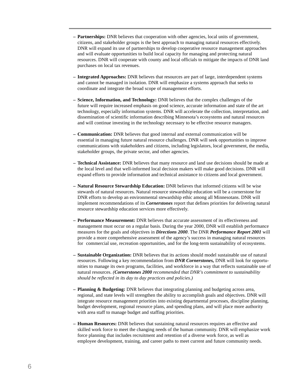- **Partnerships:** DNR believes that cooperation with other agencies, local units of government, citizens, and stakeholder groups is the best approach to managing natural resources effectively. DNR will expand its use of partnerships to develop cooperative resource management approaches and will evaluate opportunities to build local capacity for managing and protecting natural resources. DNR will cooperate with county and local officials to mitigate the impacts of DNR land purchases on local tax revenues.
- **Integrated Approaches:** DNR believes that resources are part of large, interdependent systems and cannot be managed in isolation. DNR will emphasize a systems approach that seeks to coordinate and integrate the broad scope of management efforts.
- **Science, Information, and Technology:** DNR believes that the complex challenges of the future will require increased emphasis on good science, accurate information and state of the art technology, especially information systems. DNR will accelerate the collection, interpretation, and dissemination of scientific information describing Minnesota's ecosystems and natural resources and will continue investing in the technology necessary to be effective resource managers.
- **Communication:** DNR believes that good internal and external communication will be essential in managing future natural resource challenges. DNR will seek opportunities to improve communications with stakeholders and citizens, including legislators, local government, the media, stakeholder groups, the private sector, and other agencies.
- **Technical Assistance:** DNR believes that many resource and land use decisions should be made at the local level and that well-informed local decision makers will make good decisions. DNR will expand efforts to provide information and technical assistance to citizens and local government.
- **Natural Resource Stewardship Education:** DNR believes that informed citizens will be wise stewards of natural resources. Natural resource stewardship education will be a cornerstone for DNR efforts to develop an environmental stewardship ethic among all Minnesotans. DNR will implement recommendations of its *Cornerstones* report that defines priorities for delivering natural resource stewardship education services more effectively.
- **Performance Measurement:** DNR believes that accurate assessment of its effectiveness and management must occur on a regular basis. During the year 2000, DNR will establish performance measures for the goals and objectives in *Directions 2000*. The DNR *Performance Report 2001* will provide a more comprehensive assessment of the agency's success in managing natural resources for commercial use, recreation opportunities, and for the long-term sustainability of ecosystems.
- **Sustainable Organization:** DNR believes that its actions should model sustainable use of natural resources. Following a key recommendation from *DNR Cornerstones,* DNR will look for opportunities to manage its own programs, facilities, and workforce in a way that reflects sustainable use of natural resources. *(Cornerstones 2000 recommended that DNR's commitment to sustainability should be reflected in its day to day practices and policies.)*
- **Planning & Budgeting:** DNR believes that integrating planning and budgeting across area, regional, and state levels will strengthen the ability to accomplish goals and objectives. DNR will integrate resource management priorities into existing departmental processes, discipline planning, budget development, regional resource plans, and spending plans, and will place more authority with area staff to manage budget and staffing priorities.
- **Human Resources:** DNR believes that sustaining natural resources requires an effective and skilled work force to meet the changing needs of the human community. DNR will emphasize work force planning that includes recruitment and retention of a diverse work force, as well as employee development, training, and career paths to meet current and future community needs.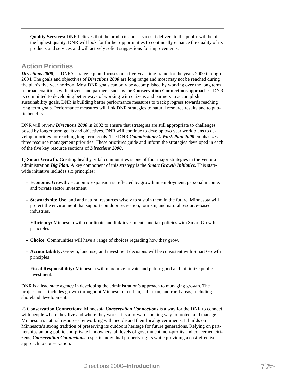**– Quality Services:** DNR believes that the products and services it delivers to the public will be of the highest quality. DNR will look for further opportunities to continually enhance the quality of its products and services and will actively solicit suggestions for improvements.

# **Action Priorities**

*Directions 2000*, as DNR's strategic plan, focuses on a five-year time frame for the years 2000 through 2004. The goals and objectives of *Directions 2000* are long range and most may not be reached during the plan's five year horizon. Most DNR goals can only be accomplished by working over the long term in broad coalitions with citizens and partners, such as the **Conservation Connections** approaches. DNR is committed to developing better ways of working with citizens and partners to accomplish sustainability goals. DNR is building better performance measures to track progress towards reaching long term goals. Performance measures will link DNR strategies to natural resource results and to public benefits.

DNR will review *Directions 2000* in 2002 to ensure that strategies are still appropriate to challenges posed by longer term goals and objectives. DNR will continue to develop two year work plans to develop priorities for reaching long term goals. The DNR *Commissioner's Work Plan 2000* emphasizes three resource management priorities. These priorities guide and inform the strategies developed in each of the five key resource sections of *Directions 2000*.

**1) Smart Growth:** Creating healthy, vital communities is one of four major strategies in the Ventura administration *Big Plan.* A key component of this strategy is the *Smart Growth Initiative.* This statewide initiative includes six principles:

- **Economic Growth:** Economic expansion is reflected by growth in employment, personal income, and private sector investment.
- **Stewardship:** Use land and natural resources wisely to sustain them in the future. Minnesota will protect the environment that supports outdoor recreation, tourism, and natural resource-based industries.
- **Efficiency:** Minnesota will coordinate and link investments and tax policies with Smart Growth principles.
- **Choice:** Communities will have a range of choices regarding how they grow.
- **Accountability:** Growth, land use, and investment decisions will be consistent with Smart Growth principles.
- **Fiscal Responsibility:** Minnesota will maximize private and public good and minimize public investment.

DNR is a lead state agency in developing the administration's approach to managing growth. The project focus includes growth throughout Minnesota in urban, suburban, and rural areas, including shoreland development.

**2) Conservation Connections:** Minnesota *Conservation Connections* is a way for the DNR to connect with people where they live and where they work. It is a forward-looking way to protect and manage Minnesota's natural resources by working with people and their local governments. It builds on Minnesota's strong tradition of preserving its outdoors heritage for future generations. Relying on partnerships among public and private landowners, all levels of government, non-profits and concerned citizens, *Conservation Connections* respects individual property rights while providing a cost-effective approach to conservation.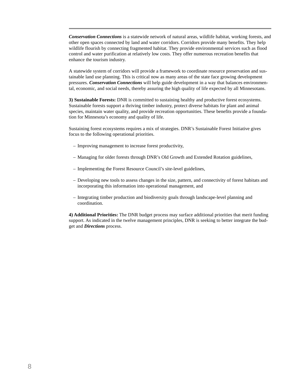*Conservation Connections* is a statewide network of natural areas, wildlife habitat, working forests, and other open spaces connected by land and water corridors. Corridors provide many benefits. They help wildlife flourish by connecting fragmented habitat. They provide environmental services such as flood control and water purification at relatively low costs. They offer numerous recreation benefits that enhance the tourism industry.

A statewide system of corridors will provide a framework to coordinate resource preservation and sustainable land use planning. This is critical now as many areas of the state face growing development pressures. *Conservation Connections* will help guide development in a way that balances environmental, economic, and social needs, thereby assuring the high quality of life expected by all Minnesotans.

**3) Sustainable Forests:** DNR is committed to sustaining healthy and productive forest ecosystems. Sustainable forests support a thriving timber industry, protect diverse habitats for plant and animal species, maintain water quality, and provide recreation opportunities. These benefits provide a foundation for Minnesota's economy and quality of life.

Sustaining forest ecosystems requires a mix of strategies. DNR's Sustainable Forest Initiative gives focus to the following operational priorities.

- Improving management to increase forest productivity,
- Managing for older forests through DNR's Old Growth and Extended Rotation guidelines,
- Implementing the Forest Resource Council's site-level guidelines,
- Developing new tools to assess changes in the size, pattern, and connectivity of forest habitats and incorporating this information into operational management, and
- Integrating timber production and biodiversity goals through landscape-level planning and coordination.

**4) Additional Priorities:** The DNR budget process may surface additional priorities that merit funding support. As indicated in the twelve management principles, DNR is seeking to better integrate the budget and *Directions* process.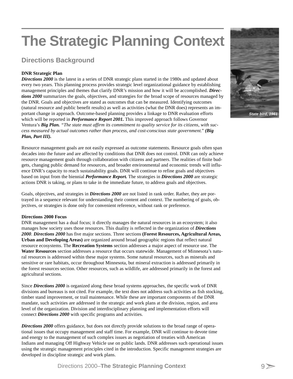# **The Strategic Planning Context**

# **Directions Background**

### **DNR Strategic Plan**

*Directions 2000* is the latest in a series of DNR strategic plans started in the 1980s and updated about every two years. This planning process provides strategic level organizational guidance by establishing management principles and themes that clarify DNR's mission and how it will be accomplished. *Directions 2000* summarizes the goals, objectives, and strategies for the broad scope of resources managed by the DNR. Goals and objectives are stated as outcomes that can be measured. Identifying outcomes (natural resource and public benefit results) as well as activities (what the DNR does) represents an important change in approach. Outcome-based planning provides a linkage to DNR evaluation efforts which will be reported in *Performance Report 2001*. This improved approach follows Governor Ventura's *Big Plan. "The state must affirm its commitment to quality service for its citizens, with success measured by actual outcomes rather than process, and cost-conscious state government." (Big Plan, Part III).*

Resource management goals are not easily expressed as outcome statements. Resource goals often span decades into the future and are affected by conditions that DNR does not control. DNR can only achieve resource management goals through collaboration with citizens and partners. The realities of finite budgets, changing public demand for resources, and broader environmental and economic trends will influence DNR's capacity to reach sustainability goals. DNR will continue to refine goals and objectives based on input from the biennial *Performance Report.* The strategies in *Directions 2000* are strategic actions DNR is taking, or plans to take in the immediate future, to address goals and objectives.

Goals, objectives, and strategies in *Directions 2000* are not listed in rank order. Rather, they are portrayed in a sequence relevant for understanding their content and context. The numbering of goals, objectives, or strategies is done only for convenient reference, without rank or preference.

### **Directions 2000 Focus**

DNR management has a dual focus; it directly manages the natural resources in an ecosystem; it also manages how society uses those resources. This duality is reflected in the organization of *Directions 2000*. *Directions 2000* has five major sections. Three sections **(Forest Resources, Agricultural Areas, Urban and Developing Areas)** are organized around broad geographic regions that reflect natural resource ecosystems. The **Recreation Systems** section addresses a major aspect of resource use. The **Water Resources** section addresses a resource that occurs statewide. Management of Minnesota's natural resources is addressed within these major systems. Some natural resources, such as minerals and sensitive or rare habitats, occur throughout Minnesota, but mineral extraction is addressed primarily in the forest resources section. Other resources, such as wildlife, are addressed primarily in the forest and agricultural sections.

Since *Directions 2000* is organized along these broad systems approaches, the specific work of DNR divisions and bureaus is not cited. For example, the text does not address such activities as fish stocking, timber stand improvement, or trail maintenance. While these are important components of the DNR mandate, such activities are addressed in the strategic and work plans at the division, region, and area level of the organization. Division and interdisciplinary planning and implementation efforts will connect *Directions 2000* with specific programs and activities.

*Directions 2000* offers guidance, but does not directly provide solutions to the broad range of operational issues that occupy management and staff time. For example, DNR will continue to devote time and energy to the management of such complex issues as negotiation of treaties with American Indians and managing Off Highway Vehicle use on public lands. DNR addresses such operational issues using the strategic management principles cited in the introduction. Specific management strategies are developed in discipline strategic and work plans.

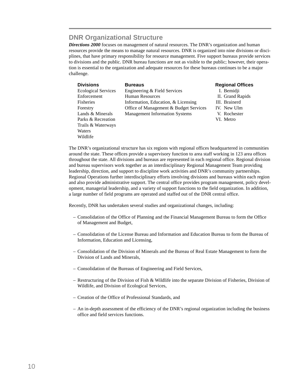# **DNR Organizational Structure**

*Directions 2000* focuses on management of natural resources. The DNR's organization and human resources provide the means to manage natural resources. DNR is organized into nine divisions or disciplines, that have primary responsibility for resource management. Five support bureaus provide services to divisions and the public. DNR bureau functions are not as visible to the public; however, their operation is essential to the organization and adequate resources for these bureaus continues to be a major challenge.

| <b>Divisions</b>           | <b>Bureaus</b>                         | <b>Regional</b> |
|----------------------------|----------------------------------------|-----------------|
| <b>Ecological Services</b> | Engineering & Field Services           | I. Bemio        |
| Enforcement                | <b>Human Resources</b>                 | II. Grand       |
| <b>Fisheries</b>           | Information, Education, & Licensing    | III. Braine     |
| Forestry                   | Office of Management & Budget Services | IV. New I       |
| Lands & Minerals           | <b>Management Information Systems</b>  | V. Roche        |
| Parks & Recreation         |                                        | VI. Metro       |
| Trails & Waterways         |                                        |                 |
| Waters                     |                                        |                 |
| Wildlife                   |                                        |                 |

#### *<u>Bureaus</u>*

I. Bemidji I. Grand Rapids I. Brainerd Forestria New Ulm L. Rochester

The DNR's organizational structure has six regions with regional offices headquartered in communities around the state. These offices provide a supervisory function to area staff working in 123 area offices throughout the state. All divisions and bureaus are represented in each regional office. Regional division and bureau supervisors work together as an interdisciplinary Regional Management Team providing leadership, direction, and support to discipline work activities and DNR's community partnerships. Regional Operations further interdisciplinary efforts involving divisions and bureaus within each region and also provide administrative support. The central office provides program management, policy development, managerial leadership, and a variety of support functions to the field organization. In addition, a large number of field programs are operated and staffed out of the DNR central office.

Recently, DNR has undertaken several studies and organizational changes, including:

- Consolidation of the Office of Planning and the Financial Management Bureau to form the Office of Management and Budget,
- Consolidation of the License Bureau and Information and Education Bureau to form the Bureau of Information, Education and Licensing,
- Consolidation of the Division of Minerals and the Bureau of Real Estate Management to form the Division of Lands and Minerals,
- Consolidation of the Bureaus of Engineering and Field Services,
- Restructuring of the Division of Fish & Wildlife into the separate Division of Fisheries, Division of Wildlife, and Division of Ecological Services,
- Creation of the Office of Professional Standards, and
- An in-depth assessment of the efficiency of the DNR's regional organization including the business office and field services functions.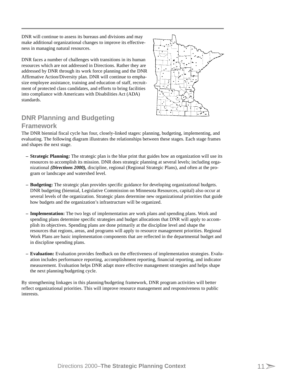DNR will continue to assess its bureaus and divisions and may make additional organizational changes to improve its effectiveness in managing natural resources.

DNR faces a number of challenges with transitions in its human resources which are not addressed in Directions. Rather they are addressed by DNR through its work force planning and the DNR Affirmative Action/Diversity plan. DNR will continue to emphasize employee assistance, training and education of staff, recruitment of protected class candidates, and efforts to bring facilities into compliance with Americans with Disabilities Act (ADA) standards.



# **DNR Planning and Budgeting**

### **Framework**

The DNR biennial fiscal cycle has four, closely-linked stages: planning, budgeting, implementing, and evaluating. The following diagram illustrates the relationships between these stages. Each stage frames and shapes the next stage.

- **Strategic Planning:** The strategic plan is the blue print that guides how an organization will use its resources to accomplish its mission. DNR does strategic planning at several levels; including organizational *(Directions 2000),* discipline, regional (Regional Strategic Plans), and often at the program or landscape and watershed level.
- **Budgeting:** The strategic plan provides specific guidance for developing organizational budgets. DNR budgeting (biennial, Legislative Commission on Minnesota Resources, capital) also occur at several levels of the organization. Strategic plans determine new organizational priorities that guide how budgets and the organization's infrastructure will be organized.
- **Implementation:** The two legs of implementation are work plans and spending plans. Work and spending plans determine specific strategies and budget allocations that DNR will apply to accomplish its objectives. Spending plans are done primarily at the discipline level and shape the resources that regions, areas, and programs will apply to resource management priorities. Regional Work Plans are basic implementation components that are reflected in the departmental budget and in discipline spending plans.
- **Evaluation:** Evaluation provides feedback on the effectiveness of implementation strategies. Evaluation includes performance reporting, accomplishment reporting, financial reporting, and indicator measurement. Evaluation helps DNR adapt more effective management strategies and helps shape the next planning/budgeting cycle.

By strengthening linkages in this planning/budgeting framework, DNR program activities will better reflect organizational priorities. This will improve resource management and responsiveness to public interests.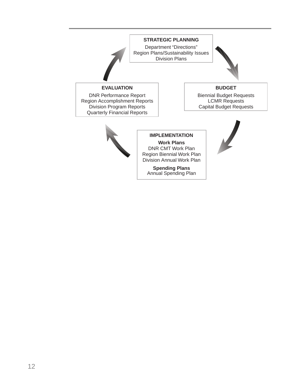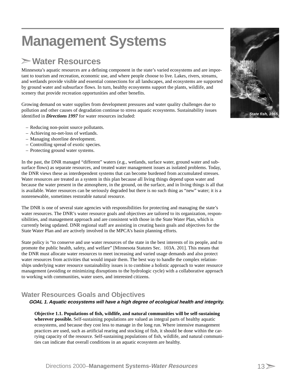# **Management Systems**

# **Water Resources**

Minnesota's aquatic resources are a defining component in the state's varied ecosystems and are important to tourism and recreation, economic use, and where people choose to live. Lakes, rivers, streams, and wetlands provide visible and essential connections for all landscapes, and ecosystems are supported by ground water and subsurface flows. In turn, healthy ecosystems support the plants, wildlife, and scenery that provide recreation opportunities and other benefits.

Growing demand on water supplies from development pressures and water quality challenges due to pollution and other causes of degradation continue to stress aquatic ecosystems. Sustainability issues identified in *Directions 1997* for water resources included:

- Reducing non-point source pollutants.
- Achieving no-net-loss of wetlands.
- Managing shoreline development.
- Controlling spread of exotic species.
- Protecting ground water systems.

In the past, the DNR managed "different" waters (e.g., wetlands, surface water, ground water and subsurface flows) as separate resources, and treated water management issues as isolated problems. Today, the DNR views these as interdependent systems that can become burdened from accumulated stresses. Water resources are treated as a system in this plan because all living things depend upon water and because the water present in the atmosphere, in the ground, on the surface, and in living things is all that is available. Water resources can be seriously degraded but there is no such thing as "new" water; it is a nonrenewable, sometimes restorable natural resource.

The DNR is one of several state agencies with responsibilities for protecting and managing the state's water resources. The DNR's water resource goals and objectives are tailored to its organization, responsibilities, and management approach and are consistent with those in the State Water Plan, which is currently being updated. DNR regional staff are assisting in creating basin goals and objectives for the State Water Plan and are actively involved in the MPCA's basin planning efforts.

State policy is "to conserve and use water resources of the state in the best interests of its people, and to promote the public health, safety, and welfare" [Minnesota Statutes Sec. 103A. 201]. This means that the DNR must allocate water resources to meet increasing and varied usage demands and also protect water resources from activities that would impair them. The best way to handle the complex relationships underlying water resource sustainability issues is to combine a holistic approach to water resource management (avoiding or minimizing disruptions to the hydrologic cycle) with a collaborative approach to working with communities, water users, and interested citizens.

# **Water Resources Goals and Objectives**

### **GOAL 1. Aquatic ecosystems will have a high degree of ecological health and integrity.**

**Objective 1.1. Populations of fish, wildlife, and natural communities will be self-sustaining wherever possible.** Self-sustaining populations are valued as integral parts of healthy aquatic ecosystems, and because they cost less to manage in the long run. Where intensive management practices are used, such as artificial rearing and stocking of fish, it should be done within the carrying capacity of the resource. Self-sustaining populations of fish, wildlife, and natural communities can indicate that overall conditions in an aquatic ecosystem are healthy.

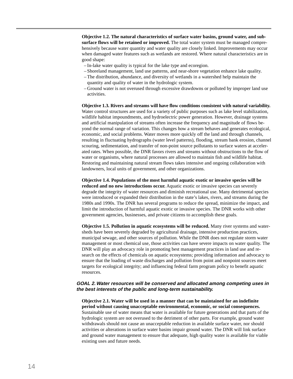**Objective 1.2. The natural characteristics of surface water basins, ground water, and subsurface flows will be retained or improved.** The total water system must be managed comprehensively because water quantity and water quality are closely linked. Improvements may occur when damaged water features such as wetlands are restored. Where natural characteristics are in good shape:

- In-lake water quality is typical for the lake type and ecoregion.
- Shoreland management, land use patterns, and near-shore vegetation enhance lake quality.
- The distribution, abundance, and diversity of wetlands in a watershed help maintain the quantity and quality of water in the hydrologic system.
- Ground water is not overused through excessive drawdowns or polluted by improper land use activities.

**Objective 1.3. Rivers and streams will have flow conditions consistent with natural variability.** Water control structures are used for a variety of public purposes such as lake level stabilization, wildlife habitat impoundments, and hydroelectric power generation. However, drainage systems and artificial manipulation of streams often increase the frequency and magnitude of flows beyond the normal range of variation. This changes how a stream behaves and generates ecological, economic, and social problems. Water moves more quickly off the land and through channels, resulting in fluctuating hydrographs (water level patterns), flooding, stream bank erosion, channel scouring, sedimentation, and transfer of non-point source pollutants to surface waters at accelerated rates. When possible, the DNR favors rivers and streams without obstructions to the flow of water or organisms, where natural processes are allowed to maintain fish and wildlife habitat. Restoring and maintaining natural stream flows takes intensive and ongoing collaboration with landowners, local units of government, and other organizations.

**Objective 1.4. Populations of the most harmful aquatic exotic or invasive species will be reduced and no new introductions occur.** Aquatic exotic or invasive species can severely degrade the integrity of water resources and diminish recreational use. Many detrimental species were introduced or expanded their distribution in the state's lakes, rivers, and streams during the 1980s and 1990s. The DNR has several programs to reduce the spread, minimize the impact, and limit the introduction of harmful aquatic exotic or invasive species. The DNR works with other government agencies, businesses, and private citizens to accomplish these goals.

**Objective 1.5. Pollution in aquatic ecosystems will be reduced.** Many river systems and watersheds have been severely degraded by agricultural drainage, intensive production practices, municipal sewage, and other sources of pollution. While the DNR does not regulate storm water management or most chemical use, those activities can have severe impacts on water quality. The DNR will play an advocacy role in promoting best management practices in land use and research on the effects of chemicals on aquatic ecosystems; providing information and advocacy to ensure that the loading of waste discharges and pollution from point and nonpoint sources meet targets for ecological integrity; and influencing federal farm program policy to benefit aquatic resources.

#### **GOAL 2. Water resources will be conserved and allocated among competing uses in the best interests of the public and long-term sustainability.**

**Objective 2.1. Water will be used in a manner that can be maintained for an indefinite period without causing unacceptable environmental, economic, or social consequences.** Sustainable use of water means that water is available for future generations and that parts of the hydrologic system are not overused to the detriment of other parts. For example, ground water withdrawals should not cause an unacceptable reduction in available surface water, nor should activities or alterations in surface water basins impair ground water. The DNR will link surface and ground water management to ensure that adequate, high quality water is available for viable existing uses and future needs.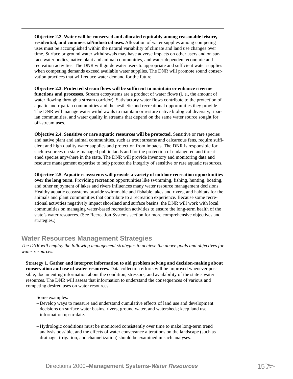**Objective 2.2. Water will be conserved and allocated equitably among reasonable leisure, residential, and commercial/industrial uses.** Allocation of water supplies among competing uses must be accomplished within the natural variability of climate and land use changes over time. Surface or ground water withdrawals may have adverse impacts on other users and on surface water bodies, native plant and animal communities, and water-dependent economic and recreation activities. The DNR will guide water users to appropriate and sufficient water supplies when competing demands exceed available water supplies. The DNR will promote sound conservation practices that will reduce water demand for the future.

**Objective 2.3. Protected stream flows will be sufficient to maintain or enhance riverine functions and processes.** Stream ecosystems are a product of water flows (i. e., the amount of water flowing through a stream corridor). Satisfactory water flows contribute to the protection of aquatic and riparian communities and the aesthetic and recreational opportunities they provide. The DNR will manage water withdrawals to maintain or restore native biological diversity, riparian communities, and water quality in streams that depend on the same water source sought for off-stream uses.

**Objective 2.4. Sensitive or rare aquatic resources will be protected.** Sensitive or rare species and native plant and animal communities, such as trout streams and calcareous fens, require sufficient and high quality water supplies and protection from impacts. The DNR is responsible for such resources on state-managed public lands and for the protection of endangered and threatened species anywhere in the state. The DNR will provide inventory and monitoring data and resource management expertise to help protect the integrity of sensitive or rare aquatic resources.

**Objective 2.5. Aquatic ecosystems will provide a variety of outdoor recreation opportunities over the long term.** Providing recreation opportunities like swimming, fishing, hunting, boating, and other enjoyment of lakes and rivers influences many water resource management decisions. Healthy aquatic ecosystems provide swimmable and fishable lakes and rivers, and habitats for the animals and plant communities that contribute to a recreation experience. Because some recreational activities negatively impact shoreland and surface basins, the DNR will work with local communities on managing water-based recreation activities to ensure the long-term health of the state's water resources. (See Recreation Systems section for more comprehensive objectives and strategies.)

# **Water Resources Management Strategies**

*The DNR will employ the following management strategies to achieve the above goals and objectives for water resources:*

**Strategy 1. Gather and interpret information to aid problem solving and decision-making about conservation and use of water resources.** Data collection efforts will be improved whenever possible, documenting information about the condition, stressors, and availability of the state's water resources. The DNR will assess that information to understand the consequences of various and competing desired uses on water resources.

Some examples:

- Develop ways to measure and understand cumulative effects of land use and development decisions on surface water basins, rivers, ground water, and watersheds; keep land use information up-to-date.
- Hydrologic conditions must be monitored consistently over time to make long-term trend analysis possible, and the effects of water conveyance alterations on the landscape (such as drainage, irrigation, and channelization) should be examined in such analyses.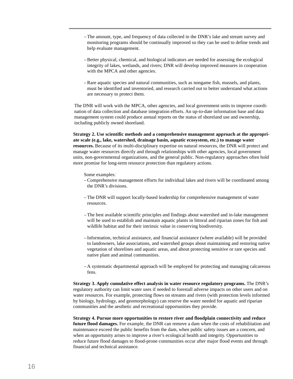- The amount, type, and frequency of data collected in the DNR's lake and stream survey and monitoring programs should be continually improved so they can be used to define trends and help evaluate management.
- Better physical, chemical, and biological indicators are needed for assessing the ecological integrity of lakes, wetlands, and rivers; DNR will develop improved measures in cooperation with the MPCA and other agencies.
- Rare aquatic species and natural communities, such as nongame fish, mussels, and plants, must be identified and inventoried, and research carried out to better understand what actions are necessary to protect them.

The DNR will work with the MPCA, other agencies, and local government units to improve coordination of data collection and database integration efforts. An up-to-date information base and data management system could produce annual reports on the status of shoreland use and ownership, including publicly owned shoreland.

Strategy 2. Use scientific methods and a comprehensive management approach at the appropri**ate scale (e.g., lake, watershed, drainage basin, aquatic ecosystem, etc.) to manage water resources.** Because of its multi-disciplinary expertise on natural resources, the DNR will protect and manage water resources directly and through relationships with other agencies, local government units, non-governmental organizations, and the general public. Non-regulatory approaches often hold more promise for long-term resource protection than regulatory actions.

Some examples:

- Comprehensive management efforts for individual lakes and rivers will be coordinated among the DNR's divisions.
- The DNR will support locally-based leadership for comprehensive management of water resources.
- The best available scientific principles and findings about watershed and in-lake management will be used to establish and maintain aquatic plants in littoral and riparian zones for fish and wildlife habitat and for their intrinsic value in conserving biodiversity.
- Information, technical assistance, and financial assistance (where available) will be provided to landowners, lake associations, and watershed groups about maintaining and restoring native vegetation of shorelines and aquatic areas, and about protecting sensitive or rare species and native plant and animal communities.
- A systematic departmental approach will be employed for protecting and managing calcareous fens.

**Strategy 3. Apply cumulative effect analysis in water resource regulatory programs.** The DNR's regulatory authority can limit water uses if needed to forestall adverse impacts on other users and on water resources. For example, protecting flows on streams and rivers (with protection levels informed by biology, hydrology, and geomorphology) can reserve the water needed for aquatic and riparian communities and the aesthetic and recreational opportunities they provide.

**Strategy 4. Pursue more opportunities to restore river and floodplain connectivity and reduce future flood damages.** For example, the DNR can remove a dam when the costs of rehabilitation and maintenance exceed the public benefits from the dam, when public safety issues are a concern, and when an opportunity arises to improve a river's ecological health and integrity. Opportunities to reduce future flood damages to flood-prone communities occur after major flood events and through financial and technical assistance.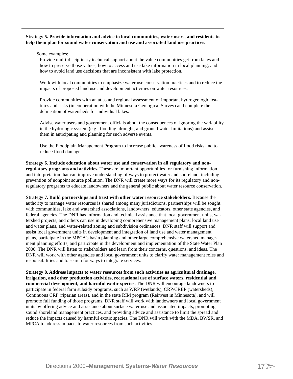#### **Strategy 5. Provide information and advice to local communities, water users, and residents to help them plan for sound water conservation and use and associated land use practices.**

Some examples:

- Provide multi-disciplinary technical support about the value communities get from lakes and how to preserve those values; how to access and use lake information in local planning; and how to avoid land use decisions that are inconsistent with lake protection.
- Work with local communities to emphasize water use conservation practices and to reduce the impacts of proposed land use and development activities on water resources.
- Provide communities with an atlas and regional assessment of important hydrogeologic features and risks (in cooperation with the Minnesota Geological Survey) and complete the delineation of watersheds for individual lakes.
- Advise water users and government officials about the consequences of ignoring the variability in the hydrologic system (e.g., flooding, drought, and ground water limitations) and assist them in anticipating and planning for such adverse events.
- Use the Floodplain Management Program to increase public awareness of flood risks and to reduce flood damage.

#### **Strategy 6. Include education about water use and conservation in all regulatory and nonregulatory programs and activities.** These are important opportunities for furnishing information and interpretation that can improve understanding of ways to protect water and shoreland, including prevention of nonpoint source pollution. The DNR will create more ways for its regulatory and nonregulatory programs to educate landowners and the general public about water resource conservation.

**Strategy 7. Build partnerships and trust with other water resource stakeholders.** Because the authority to manage water resources is shared among many jurisdictions, partnerships will be sought with communities, lake and watershed associations, landowners, educators, other state agencies, and federal agencies. The DNR has information and technical assistance that local government units, watershed projects, and others can use in developing comprehensive management plans, local land use and water plans, and water-related zoning and subdivision ordinances. DNR staff will support and assist local government units in development and integration of land use and water management plans, participate in the MPCA's basin planning and other large comprehensive watershed management planning efforts, and participate in the development and implementation of the State Water Plan 2000. The DNR will listen to stakeholders and learn from their concerns, questions, and ideas. The DNR will work with other agencies and local government units to clarify water management roles and responsibilities and to search for ways to integrate services.

**Strategy 8. Address impacts to water resources from such activities as agricultural drainage, irrigation, and other production activities, recreational use of surface waters, residential and commercial development, and harmful exotic species.** The DNR will encourage landowners to participate in federal farm subsidy programs, such as WRP (wetlands), CRP/CREP (watersheds), Continuous CRP (riparian areas), and in the state RIM program (Reinvest in Minnesota), and will promote full funding of those programs. DNR staff will work with landowners and local government units by offering advice and assistance about surface water use and associated impacts, promoting sound shoreland management practices, and providing advice and assistance to limit the spread and reduce the impacts caused by harmful exotic species. The DNR will work with the MDA, BWSR, and MPCA to address impacts to water resources from such activities.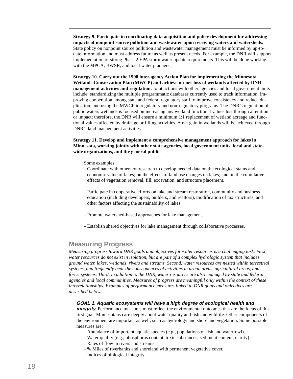**Strategy 9. Participate in coordinating data acquisition and policy development for addressing impacts of nonpoint source pollution and wastewater upon receiving waters and watersheds.** State policy on nonpoint source pollution and wastewater management must be informed by up-todate information and must address future as well as present needs. For example, the DNR will support implementation of strong Phase 2 EPA storm water update requirements. This will be done working with the MPCA, BWSR, and local water planners.

**Strategy 10. Carry out the 1998 interagency Action Plan for implementing the Minnesota Wetlands Conservation Plan (MWCP) and achieve no-net-loss of wetlands affected by DNR management activities and regulation.** Joint actions with other agencies and local government units include: standardizing the multiple programmatic databases currently used to track information; improving cooperation among state and federal regulatory staff to improve consistency and reduce duplication; and using the MWCP in regulatory and non-regulatory programs. The DNR's regulation of public waters wetlands is focused on increasing any wetland functional values lost through alteration or impact; therefore, the DNR will ensure a minimum 1:1 replacement of wetland acreage and functional values affected by drainage or filling activities. A net gain in wetlands will be achieved through DNR's land management activities.

#### **Strategy 11. Develop and implement a comprehensive management approach for lakes in Minnesota, working jointly with other state agencies, local government units, local and statewide organizations, and the general public.**

Some examples:

- Coordinate with others on research to develop needed data on the ecological status and economic value of lakes; on the effects of land use changes on lakes; and on the cumulative effects of vegetation removal, fill, excavation, and structure placement.
- Participate in cooperative efforts on lake and stream restoration, community and business education (including developers, builders, and realtors), modification of tax structures, and other factors affecting the sustainability of lakes.
- Promote watershed-based approaches for lake management.
- Establish shared objectives for lake management through collaborative processes.

## **Measuring Progress**

*Measuring progress toward DNR goals and objectives for water resources is a challenging task. First, water resources do not exist in isolation, but are part of a complex hydrologic system that includes ground water, lakes, wetlands, rivers and streams. Second, water resources are nested within terrestrial systems, and frequently bear the consequences of activities in urban areas, agricultural areas, and forest systems. Third, in addition to the DNR, water resources are also managed by state and federal agencies and local communities. Measures of progress are meaningful only within the context of these interrelationships. Examples of performance measures linked to DNR goals and objectives are described below.*

#### **GOAL 1. Aquatic ecosystems will have a high degree of ecological health and**

**integrity.** Performance measures must reflect the environmental outcomes that are the focus of this first goal. Minnesotans care deeply about water quality and fish and wildlife. Other components of the environment are important as well, such as hydrology and shoreland vegetation. Some possible measures are:

- Abundance of important aquatic species (e.g., populations of fish and waterfowl).
- Water quality (e.g., phosphorus content, toxic substances, sediment content, clarity).
- Rates of flow in rivers and streams.
- % Miles of riverbanks and shoreland with permanent vegetative cover.
- Indices of biological integrity.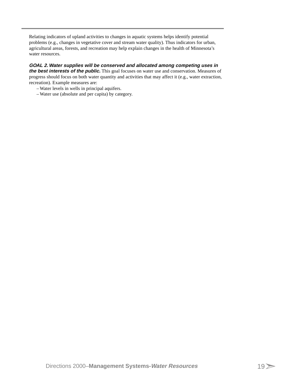Relating indicators of upland activities to changes in aquatic systems helps identify potential problems (e.g., changes in vegetative cover and stream water quality). Thus indicators for urban, agricultural areas, forests, and recreation may help explain changes in the health of Minnesota's water resources.

### **GOAL 2. Water supplies will be conserved and allocated among competing uses in**

**the best interests of the public.** This goal focuses on water use and conservation. Measures of progress should focus on both water quantity and activities that may affect it (e.g., water extraction, recreation). Example measures are:

- Water levels in wells in principal aquifers.
- Water use (absolute and per capita) by category.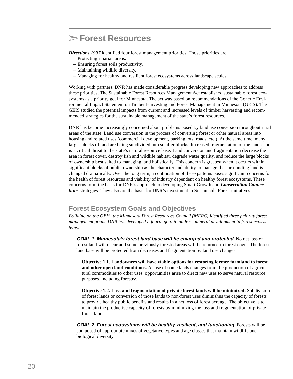# **Forest Resources**

*Directions 1997* identified four forest management priorities. Those priorities are:

- Protecting riparian areas.
- Ensuring forest soils productivity.
- Maintaining wildlife diversity.
- Managing for healthy and resilient forest ecosystems across landscape scales.

Working with partners, DNR has made considerable progress developing new approaches to address these priorities. The Sustainable Forest Resources Management Act established sustainable forest ecosystems as a priority goal for Minnesota. The act was based on recommendations of the Generic Environmental Impact Statement on Timber Harvesting and Forest Management in Minnesota (GEIS). The GEIS studied the potential impacts from current and increased levels of timber harvesting and recommended strategies for the sustainable management of the state's forest resources.

DNR has become increasingly concerned about problems posed by land use conversion throughout rural areas of the state. Land use conversion is the process of converting forest or other natural areas into housing and related uses (commercial development, parking lots, roads, etc.). At the same time, many larger blocks of land are being subdivided into smaller blocks. Increased fragmentation of the landscape is a critical threat to the state's natural resource base. Land conversion and fragmentation decrease the area in forest cover, destroy fish and wildlife habitat, degrade water quality, and reduce the large blocks of ownership best suited to managing land holistically. This concern is greatest when it occurs within significant blocks of public ownership as the character and ability to manage the surrounding land is changed dramatically. Over the long term, a continuation of these patterns poses significant concerns for the health of forest resources and viability of industry dependent on healthy forest ecosystems. These concerns form the basis for DNR's approach to developing Smart Growth and *Conservation Connections* strategies. They also are the basis for DNR's investment in Sustainable Forest initiatives.

## **Forest Ecosystem Goals and Objectives**

*Building on the GEIS, the Minnesota Forest Resources Council (MFRC) identified three priority forest management goals. DNR has developed a fourth goal to address mineral development in forest ecosystems.*

**GOAL 1. Minnesota's forest land base will be enlarged and protected.** No net loss of forest land will occur and some previously forested areas will be returned to forest cover. The forest land base will be protected from decreases and fragmentation by land use changes.

**Objective 1.1. Landowners will have viable options for restoring former farmland to forest and other open land conditions.** As use of some lands changes from the production of agricultural commodities to other uses, opportunities arise to direct new uses to serve natural resource purposes, including forestry.

**Objective 1.2. Loss and fragmentation of private forest lands will be minimized.** Subdivision of forest lands or conversion of those lands to non-forest uses diminishes the capacity of forests to provide healthy public benefits and results in a net loss of forest acreage. The objective is to maintain the productive capacity of forests by minimizing the loss and fragmentation of private forest lands.

**GOAL 2. Forest ecosystems will be healthy, resilient, and functioning.** Forests will be composed of appropriate mixes of vegetative types and age classes that maintain wildlife and biological diversity.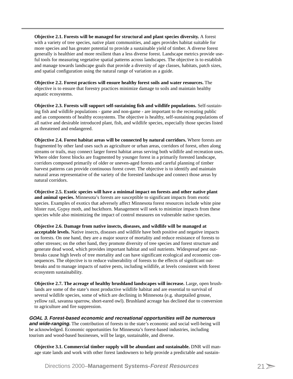**Objective 2.1. Forests will be managed for structural and plant species diversity.** A forest with a variety of tree species, native plant communities, and ages provides habitat suitable for more species and has greater potential to provide a sustainable yield of timber. A diverse forest generally is healthier and more resilient than a less diverse forest. Landscape metrics provide useful tools for measuring vegetative spatial patterns across landscapes. The objective is to establish and manage towards landscape goals that provide a diversity of age classes, habitats, patch sizes, and spatial configuration using the natural range of variation as a guide.

**Objective 2.2. Forest practices will ensure healthy forest soils and water resources.** The objective is to ensure that forestry practices minimize damage to soils and maintain healthy aquatic ecosystems.

**Objective 2.3. Forests will support self-sustaining fish and wildlife populations.** Self-sustaining fish and wildlife populations - game and non-game - are important to the recreating public and as components of healthy ecosystems. The objective is healthy, self-sustaining populations of all native and desirable introduced plant, fish, and wildlife species, especially those species listed as threatened and endangered.

**Objective 2.4. Forest habitat areas will be connected by natural corridors.** Where forests are fragmented by other land uses such as agriculture or urban areas, corridors of forest, often along streams or trails, may connect larger forest habitat areas serving both wildlife and recreation uses. Where older forest blocks are fragmented by younger forest in a primarily forested landscape, corridors composed primarily of older or uneven-aged forests and careful planning of timber harvest patterns can provide continuous forest cover. The objective is to identify and maintain natural areas representative of the variety of the forested landscape and connect those areas by natural corridors.

**Objective 2.5. Exotic species will have a minimal impact on forests and other native plant and animal species.** Minnesota's forests are susceptible to significant impacts from exotic species. Examples of exotics that adversely affect Minnesota forest resources include white pine blister rust, Gypsy moth, and buckthorn. Management will seek to minimize impacts from these species while also minimizing the impact of control measures on vulnerable native species.

**Objective 2.6. Damage from native insects, diseases, and wildlife will be managed at acceptable levels.** Native insects, diseases and wildlife have both positive and negative impacts on forests. On one hand, they are a major source of mortality and reduce resistance of forests to other stresses; on the other hand, they promote diversity of tree species and forest structure and generate dead wood, which provides important habitat and soil nutrients. Widespread pest outbreaks cause high levels of tree mortality and can have significant ecological and economic consequences. The objective is to reduce vulnerability of forests to the effects of significant outbreaks and to manage impacts of native pests, including wildlife, at levels consistent with forest ecosystem sustainability.

**Objective 2.7. The acreage of healthy brushland landscapes will increase.** Large, open brushlands are some of the state's most productive wildlife habitat and are essential to survival of several wildlife species, some of which are declining in Minnesota (e.g. sharptailed grouse, yellow rail, savanna sparrow, short-eared owl). Brushland acreage has declined due to conversion to agriculture and fire suppression.

**GOAL 3. Forest-based economic and recreational opportunities will be numerous** and wide-ranging. The contribution of forests to the state's economic and social well-being will be acknowledged. Economic opportunities for Minnesota's forest-based industries, including tourism and wood-based businesses, will be large, sustainable, and diverse.

**Objective 3.1. Commercial timber supply will be abundant and sustainable.** DNR will manage state lands and work with other forest landowners to help provide a predictable and sustain-

Directions 2000–**Management Systems-Forest Resources**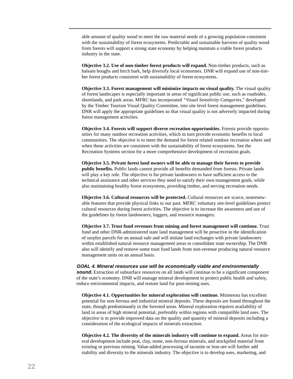able amount of quality wood to meet the raw material needs of a growing population consistent with the sustainability of forest ecosystems. Predictable and sustainable harvests of quality wood from forests will support a strong state economy by helping maintain a viable forest products industry in the state.

**Objective 3.2. Use of non-timber forest products will expand.** Non-timber products, such as balsam boughs and birch bark, help diversify local economies. DNR will expand use of non-timber forest products consistent with sustainability of forest ecosystems.

**Objective 3.3. Forest management will minimize impacts on visual quality.** The visual quality of forest landscapes is especially important in areas of significant public use, such as roadsides, shorelands, and park areas. MFRC has incorporated *"Visual Sensitivity Categories,"* developed by the Timber Tourism Visual Quality Committee, into site level forest management guidelines. DNR will apply the appropriate guidelines so that visual quality is not adversely impacted during forest management activities.

**Objective 3.4. Forests will support diverse recreation opportunities.** Forests provide opportunities for many outdoor recreation activities, which in turn provide economic benefits to local communities. The objective is to meet the demand for forest related outdoor recreation where and when these activities are consistent with the sustainability of forest ecosystems. See the Recreation Systems section for a more comprehensive development of recreation goals.

**Objective 3.5. Private forest land owners will be able to manage their forests to provide public benefits.** Public lands cannot provide all benefits demanded from forests. Private lands will play a key role. The objective is for private landowners to have sufficient access to the technical assistance and other services they need to satisfy their own management goals, while also maintaining healthy forest ecosystems, providing timber, and serving recreation needs.

**Objective 3.6. Cultural resources will be protected.** Cultural resources are scarce, nonrenewable features that provide physical links to our past. MFRC voluntary site-level guidelines protect cultural resources during forest activities. The objective is to increase the awareness and use of the guidelines by forest landowners, loggers, and resource managers.

**Objective 3.7. Trust fund revenues from mining and forest management will continue.** Trust fund and other DNR-administered state land management will be proactive in the identification of surplus parcels for an annual sale and will initiate land exchanges with private landowners within established natural resource management areas to consolidate state ownership. The DNR also will identify and remove some trust fund lands from non-revenue producing natural resource management units on an annual basis.

**GOAL 4. Mineral resources use will be economically viable and environmentally**

**sound.** Extraction of subsurface resources on all lands will continue to be a significant component of the state's economy. DNR will manage mineral development to protect public health and safety, reduce environmental impacts, and restore land for post-mining uses.

**Objective 4.1. Opportunities for mineral exploration will continue.** Minnesota has excellent potential for non-ferrous and industrial mineral deposits. These deposits are found throughout the state, though predominantly in the forested areas. Mineral exploration requires availability of land in areas of high mineral potential, preferably within regions with compatible land uses. The objective is to provide improved data on the quality and quantity of mineral deposits including a consideration of the ecological impacts of minerals extraction.

**Objective 4.2. The diversity of the minerals industry will continue to expand.** Areas for mineral development include peat, clay, stone, non-ferrous minerals, and stockpiled material from existing or previous mining. Value-added processing of taconite or iron ore will further add stability and diversity to the minerals industry. The objective is to develop uses, marketing, and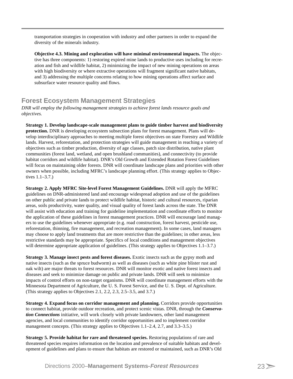transportation strategies in cooperation with industry and other partners in order to expand the diversity of the minerals industry.

**Objective 4.3. Mining and exploration will have minimal environmental impacts.** The objective has three components: 1) restoring expired mine lands to productive uses including for recreation and fish and wildlife habitat, 2) minimizing the impact of new mining operations on areas with high biodiversity or where extractive operations will fragment significant native habitats, and 3) addressing the multiple concerns relating to how mining operations affect surface and subsurface water resource quality and flows.

# **Forest Ecosystem Management Strategies**

*DNR will employ the following management strategies to achieve forest lands resource goals and objectives.*

**Strategy 1. Develop landscape-scale management plans to guide timber harvest and biodiversity protection.** DNR is developing ecosystem subsection plans for forest management. Plans will develop interdisciplinary approaches to meeting multiple forest objectives on state Forestry and Wildlife lands. Harvest, reforestation, and protection strategies will guide management in reaching a variety of objectives such as timber production, diversity of age classes, patch size distribution, native plant communities (forest land, wetland, and open brushland communities), and connectivity (to provide habitat corridors and wildlife habitat). DNR's Old Growth and Extended Rotation Forest Guidelines will focus on maintaining older forests. DNR will coordinate landscape plans and priorities with other owners when possible, including MFRC's landscape planning effort. (This strategy applies to Objectives 1.1–3.7.)

**Strategy 2. Apply MFRC Site-level Forest Management Guidelines.** DNR will apply the MFRC guidelines on DNR-administered land and encourage widespread adoption and use of the guidelines on other public and private lands to protect wildlife habitat, historic and cultural resources, riparian areas, soils productivity, water quality, and visual quality of forest lands across the state. The DNR will assist with education and training for guideline implementation and coordinate efforts to monitor the application of these guidelines in forest management practices. DNR will encourage land managers to use the guidelines whenever appropriate (e.g. road construction, forest harvest, pesticide use, reforestation, thinning, fire management, and recreation management). In some cases, land managers may choose to apply land treatments that are more restrictive than the guidelines; in other areas, less restrictive standards may be appropriate. Specifics of local conditions and management objectives will determine appropriate application of guidelines. (This strategy applies to Objectives 1.1–3.7.)

**Strategy 3. Manage insect pests and forest diseases.** Exotic insects such as the gypsy moth and native insects (such as the spruce budworm) as well as diseases (such as white pine blister rust and oak wilt) are major threats to forest resources. DNR will monitor exotic and native forest insects and diseases and seek to minimize damage on public and private lands. DNR will seek to minimize impacts of control efforts on non-target organisms. DNR will coordinate management efforts with the Minnesota Department of Agriculture, the U. S. Forest Service, and the U. S. Dept. of Agriculture. (This strategy applies to Objectives 2.1, 2.2, 2.3, 2.5–3.5, and 3.7.)

**Strategy 4. Expand focus on corridor management and planning.** Corridors provide opportunities to connect habitat, provide outdoor recreation, and protect scenic vistas. DNR, through the *Conservation Connections* initiative, will work closely with private landowners, other land management agencies, and local communities to identify corridor opportunities and to implement corridor management concepts. (This strategy applies to Objectives 1.1–2.4, 2.7, and 3.3–3.5.)

**Strategy 5. Provide habitat for rare and threatened species.** Restoring populations of rare and threatened species requires information on the location and prevalence of suitable habitats and development of guidelines and plans to ensure that habitats are restored or maintained, such as DNR's Old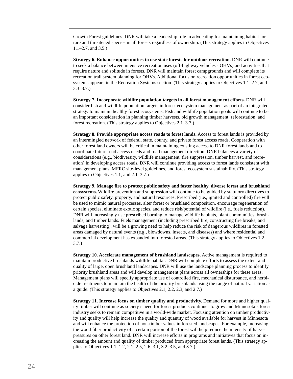Growth Forest guidelines. DNR will take a leadership role in advocating for maintaining habitat for rare and threatened species in all forests regardless of ownership. (This strategy applies to Objectives 1.1–2.7, and 3.5.)

**Strategy 6. Enhance opportunities to use state forests for outdoor recreation.** DNR will continue to seek a balance between intensive recreation uses (off-highway vehicles - OHVs) and activities that require nature and solitude in forests. DNR will maintain forest campgrounds and will complete its recreation trail system planning for OHVs. Additional focus on recreation opportunities in forest ecosystems appears in the Recreation Systems section. (This strategy applies to Objectives 1.1–2.7, and 3.3–3.7.)

**Strategy 7. Incorporate wildlife population targets in all forest management efforts.** DNR will consider fish and wildlife population targets in forest ecosystem management as part of an integrated strategy to maintain healthy forest ecosystems. Fish and wildlife population goals will continue to be an important consideration in planning timber harvests, old growth management, reforestation, and forest recreation. (This strategy applies to Objectives 2.1–3.7.)

**Strategy 8. Provide appropriate access roads to forest lands.** Access to forest lands is provided by an intermingled network of federal, state, county, and private forest access roads. Cooperation with other forest land owners will be critical in maintaining existing access to DNR forest lands and to coordinate future road access needs and road management direction. DNR balances a variety of considerations (e.g., biodiversity, wildlife management, fire suppression, timber harvest, and recreation) in developing access roads. DNR will continue providing access to forest lands consistent with management plans, MFRC site-level guidelines, and forest ecosystem sustainability. (This strategy applies to Objectives 1.1, and 2.1–3.7.)

**Strategy 9. Manage fire to protect public safety and foster healthy, diverse forest and brushland ecosystems.** Wildfire prevention and suppression will continue to be guided by statutory directives to protect public safety, property, and natural resources. Prescribed (i.e., ignited and controlled) fire will be used to mimic natural processes, alter forest or brushland composition, encourage regeneration of certain species, eliminate exotic species, and reduce risk/potential of wildfire (i.e., fuels reduction). DNR will increasingly use prescribed burning to manage wildlife habitats, plant communities, brushlands, and timber lands. Fuels management (including prescribed fire, constructing fire breaks, and salvage harvesting), will be a growing need to help reduce the risk of dangerous wildfires in forested areas damaged by natural events (e.g., blowdowns, insects, and diseases) and where residential and commercial development has expanded into forested areas. (This strategy applies to Objectives 1.2– 3.7.)

**Strategy 10. Accelerate management of brushland landscapes.** Active management is required to maintain productive brushlands wildlife habitat. DNR will complete efforts to assess the extent and quality of large, open brushland landscapes. DNR will use the landscape planning process to identify priority brushland areas and will develop management plans across all ownerships for these areas. Management plans will specify appropriate use of controlled fire, mechanical disturbance, and herbicide treatments to maintain the health of the priority brushlands using the range of natural variation as a guide. (This strategy applies to Objectives 2.1, 2.2, 2.3, and 2.7.)

**Strategy 11. Increase focus on timber quality and productivity.** Demand for more and higher quality timber will continue as society's need for forest products continues to grow and Minnesota's forest industry seeks to remain competitive in a world-wide market. Focusing attention on timber productivity and quality will help increase the quality and quantity of wood available for harvest in Minnesota and will enhance the protection of non-timber values in forested landscapes. For example, increasing the wood fiber productivity of a certain portion of the forest will help reduce the intensity of harvest pressures on other forest land. DNR will increase efforts in programs and initiatives that focus on increasing the amount and quality of timber produced from appropriate forest lands. (This strategy applies to Objectives 1.1, 1.2, 2.1, 2.5, 2.6, 3.1, 3.2, 3.5, and 3.7.)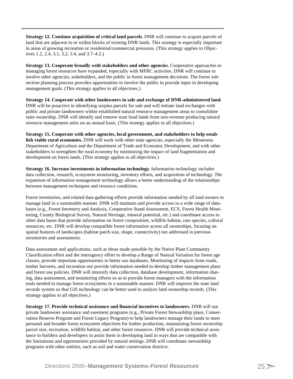**Strategy 12. Continue acquisition of critical land parcels.** DNR will continue to acquire parcels of land that are adjacent to or within blocks of existing DNR lands. This strategy is especially important in areas of growing recreation or residential/commercial pressures. (This strategy applies to Objectives 1.2, 2.4, 3.1, 3.2, 3.4, and 3.7–4.2.)

**Strategy 13. Cooperate broadly with stakeholders and other agencies.** Cooperative approaches to managing forest resources have expanded, especially with MFRC activities. DNR will continue to involve other agencies, stakeholders, and the public in forest management decisions. The forest subsection planning process provides opportunities to involve the public to provide input in developing management goals. (This strategy applies to all objectives.)

**Strategy 14. Cooperate with other landowners in sale and exchange of DNR-administered land.** DNR will be proactive in identifying surplus parcels for sale and will initiate land exchanges with public and private landowners within established natural resource management areas to consolidate state ownership. DNR will identify and remove trust fund lands from non-revenue producing natural resource management units on an annual basis. (This strategy applies to all objectives.)

**Strategy 15. Cooperate with other agencies, local government, and stakeholders to help establish viable rural economies.** DNR will work with other state agencies, especially the Minnesota Department of Agriculture and the Department of Trade and Economic Development, and with other stakeholders to strengthen the rural economy by minimizing the impact of land fragmentation and development on forest lands. (This strategy applies to all objectives.)

**Strategy 16. Increase investments in information technology.** Information technology includes data collection, research, ecosystem monitoring, inventory efforts, and acquisition of technology. The expansion of information management technology allows a better understanding of the relationships between management techniques and resource conditions.

Forest inventories, and related data-gathering efforts provide information needed by all land owners to manage land in a sustainable manner. DNR will maintain and provide access to a wide range of databases (e.g., Forest Inventory and Analysis, Cooperative Stand Assessment, ECS, Forest Health Monitoring, County Biological Survey, Natural Heritage, mineral potential, etc.) and coordinate access to other data bases that provide information on forest composition, wildlife habitat, rare species, cultural resources, etc. DNR will develop compatible forest information across all ownerships, focusing on spatial features of landscapes (habitat patch size, shape, connectivity) not addressed in previous inventories and assessments.

Data assessment and applications, such as those made possible by the Native Plant Community Classification effort and the interagency effort to develop a Range of Natural Variation for forest age classes, provide important opportunities to better use databases. Monitoring of impacts from roads, timber harvests, and recreation use provide information needed to develop timber management plans and forest use policies. DNR will intensify data collection, database development, information sharing, data assessment, and monitoring efforts so as to provide forest managers with the information tools needed to manage forest ecosystems in a sustainable manner. DNR will improve the state land records system so that GIS technology can be better used to analyze land ownership records. (This strategy applies to all objectives.)

**Strategy 17. Provide technical assistance and financial incentives to landowners.** DNR will use private landowner assistance and easement programs (e.g., Private Forest Stewardship plans, Conservation Reserve Program and Forest Legacy Program) to help landowners manage their lands to meet personal and broader forest ecosystem objectives for timber production, maintaining forest ownership parcel size, recreation, wildlife habitat, and other forest resources. DNR will provide technical assistance to builders and developers to assist them in developing land in ways that are compatible with the limitations and opportunities provided by natural settings. DNR will coordinate stewardship programs with other entities, such as soil and water conservation districts.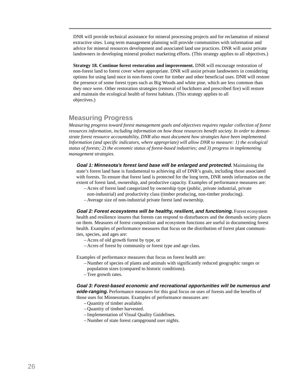DNR will provide technical assistance for mineral processing projects and for reclamation of mineral extractive sites. Long term management planning will provide communities with information and advice for mineral resources development and associated land use practices. DNR will assist private landowners in developing mineral product marketing efforts. (This strategy applies to all objectives.)

**Strategy 18. Continue forest restoration and improvement.** DNR will encourage restoration of non-forest land to forest cover where appropriate. DNR will assist private landowners in considering options for using land once in non-forest cover for timber and other beneficial uses. DNR will restore the presence of some forest types such as Big Woods and white pine, which are less common than they once were. Other restoration strategies (removal of buckthorn and prescribed fire) will restore and maintain the ecological health of forest habitats. (This strategy applies to all objectives.)

## **Measuring Progress**

*Measuring progress toward forest management goals and objectives requires regular collection of forest resources information, including information on how those resources benefit society. In order to demonstrate forest resource accountability, DNR also must document how strategies have been implemented. Information (and specific indicators, where appropriate) will allow DNR to measure: 1) the ecological status of forests; 2) the economic status of forest-based industries; and 3) progress in implementing management strategies.*

**Goal 1: Minnesota's forest land base will be enlarged and protected.** Maintaining the state's forest land base is fundamental to achieving all of DNR's goals, including those associated with forests. To ensure that forest land is protected for the long term, DNR needs information on the extent of forest land, ownership, and productive capacity. Examples of performance measures are:

- Acres of forest land categorized by ownership type (public, private industrial, private
- non-industrial) and productivity class (timber producing, non-timber producing).
- Average size of non-industrial private forest land ownership.

**Goal 2: Forest ecosystems will be healthy, resilient, and functioning.** Forest ecosystem health and resilience insures that forests can respond to disturbances and the demands society places on them. Measures of forest composition and ecosystem functions are useful in documenting forest health. Examples of performance measures that focus on the distribution of forest plant communities, species, and ages are:

- Acres of old growth forest by type, or
- Acres of forest by community or forest type and age class.

Examples of performance measures that focus on forest health are:

- Number of species of plants and animals with significantly reduced geographic ranges or population sizes (compared to historic conditions).
- Tree growth rates.

### **Goal 3: Forest-based economic and recreational opportunities will be numerous and**

**wide-ranging.** Performance measures for this goal focus on uses of forests and the benefits of those uses for Minnesotans. Examples of performance measures are:

- Quantity of timber available.
- Quantity of timber harvested.
- Implementation of Visual Quality Guidelines.
- Number of state forest campground user nights.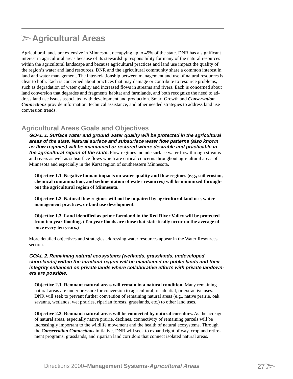# **Agricultural Areas**

Agricultural lands are extensive in Minnesota, occupying up to 45% of the state. DNR has a significant interest in agricultural areas because of its stewardship responsibility for many of the natural resources within the agricultural landscape and because agricultural practices and land use impact the quality of the region's water and land resources. DNR and the agricultural community share a common interest in land and water management. The inter-relationship between management and use of natural resources is clear to both. Each is concerned about practices that may damage or contribute to resource problems, such as degradation of water quality and increased flows in streams and rivers. Each is concerned about land conversion that degrades and fragments habitat and farmlands, and both recognize the need to address land use issues associated with development and production. Smart Growth and *Conservation Connections* provide information, technical assistance, and other needed strategies to address land use conversion trends.

## **Agricultural Areas Goals and Objectives**

**GOAL 1. Surface water and ground water quality will be protected in the agricultural areas of the state. Natural surface and subsurface water flow patterns (also known as flow regimes) will be maintained or restored where desirable and practicable in the agricultural region of the state.** Flow regimes include surface water flow through streams and rivers as well as subsurface flows which are critical concerns throughout agricultural areas of Minnesota and especially in the Karst region of southeastern Minnesota.

**Objective 1.1. Negative human impacts on water quality and flow regimes (e.g., soil erosion, chemical contamination, and sedimentation of water resources) will be minimized throughout the agricultural region of Minnesota.**

**Objective 1.2. Natural flow regimes will not be impaired by agricultural land use, water management practices, or land use development.**

**Objective 1.3. Land identified as prime farmland in the Red River Valley will be protected from ten year flooding. (Ten year floods are those that statistically occur on the average of once every ten years.)**

More detailed objectives and strategies addressing water resources appear in the Water Resources section.

#### **GOAL 2. Remaining natural ecosystems (wetlands, grasslands, undeveloped shorelands) within the farmland region will be maintained on public lands and their integrity enhanced on private lands where collaborative efforts with private landowners are possible.**

**Objective 2.1. Remnant natural areas will remain in a natural condition.** Many remaining natural areas are under pressure for conversion to agricultural, residential, or extractive uses. DNR will seek to prevent further conversion of remaining natural areas (e.g., native prairie, oak savanna, wetlands, wet prairies, riparian forests, grasslands, etc.) to other land uses.

**Objective 2.2. Remnant natural areas will be connected by natural corridors.** As the acreage of natural areas, especially native prairie, declines, connectivity of remaining parcels will be increasingly important to the wildlife movement and the health of natural ecosystems. Through the *Conservation Connections* initiative, DNR will seek to expand right of way, cropland retirement programs, grasslands, and riparian land corridors that connect isolated natural areas.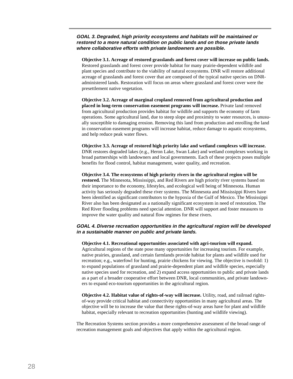#### **GOAL 3. Degraded, high priority ecosystems and habitats will be maintained or restored to a more natural condition on public lands and on those private lands where collaborative efforts with private landowners are possible.**

**Objective 3.1. Acreage of restored grasslands and forest cover will increase on public lands.** Restored grasslands and forest cover provide habitat for many prairie-dependent wildlife and plant species and contribute to the viability of natural ecosystems. DNR will restore additional acreage of grasslands and forest cover that are composed of the typical native species on DNRadministered lands. Restoration will focus on areas where grassland and forest cover were the presettlement native vegetation.

**Objective 3.2. Acreage of marginal cropland removed from agricultural production and placed in long-term conservation easement programs will increase.** Private land removed from agricultural production provides habitat for wildlife and supports the economy of farm operations. Some agricultural land, due to steep slope and proximity to water resources, is unusually susceptible to damaging erosion. Removing this land from production and enrolling the land in conservation easement programs will increase habitat, reduce damage to aquatic ecosystems, and help reduce peak water flows.

#### **Objective 3.3. Acreage of restored high priority lake and wetland complexes will increase.**

DNR restores degraded lakes (e.g., Heron Lake, Swan Lake) and wetland complexes working in broad partnerships with landowners and local governments. Each of these projects poses multiple benefits for flood control, habitat management, water quality, and recreation.

#### **Objective 3.4. The ecosystems of high priority rivers in the agricultural region will be**

**restored.** The Minnesota, Mississippi, and Red Rivers are high priority river systems based on their importance to the economy, lifestyles, and ecological well being of Minnesota. Human activity has seriously degraded these river systems. The Minnesota and Mississippi Rivers have been identified as significant contributors to the hypoxia of the Gulf of Mexico. The Mississippi River also has been designated as a nationally significant ecosystem in need of restoration. The Red River flooding problems need special attention. DNR will support and foster measures to improve the water quality and natural flow regimes for these rivers.

#### **GOAL 4. Diverse recreation opportunities in the agricultural region will be developed in a sustainable manner on public and private lands.**

#### **Objective 4.1. Recreational opportunities associated with agri-tourism will expand.**

Agricultural regions of the state pose many opportunities for increasing tourism. For example, native prairies, grassland, and certain farmlands provide habitat for plants and wildlife used for recreation; e.g., waterfowl for hunting, prairie chickens for viewing. The objective is twofold: 1) to expand populations of grassland and prairie-dependent plant and wildlife species, especially native species used for recreation, and 2) expand access opportunities to public and private lands as a part of a broader cooperative effort between DNR, local communities, and private landowners to expand eco-tourism opportunities in the agricultural region.

**Objective 4.2. Habitat value of rights-of-way will increase.** Utility, road, and railroad rightsof-way provide critical habitat and connectivity opportunities in many agricultural areas. The objective will be to increase the value that these rights-of-way areas have for plant and wildlife habitat, especially relevant to recreation opportunities (hunting and wildlife viewing).

The Recreation Systems section provides a more comprehensive assessment of the broad range of recreation management goals and objectives that apply within the agricultural region.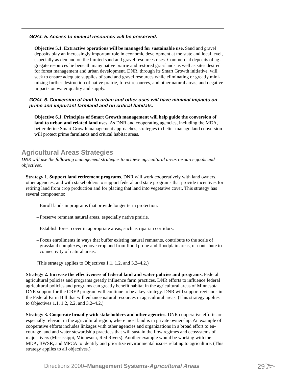#### **GOAL 5. Access to mineral resources will be preserved.**

**Objective 5.1. Extractive operations will be managed for sustainable use.** Sand and gravel deposits play an increasingly important role in economic development at the state and local level, especially as demand on the limited sand and gravel resources rises. Commercial deposits of aggregate resources lie beneath many native prairie and restored grasslands as well as sites desired for forest management and urban development. DNR, through its Smart Growth initiative, will seek to ensure adequate supplies of sand and gravel resources while eliminating or greatly minimizing further destruction of native prairie, forest resources, and other natural areas, and negative impacts on water quality and supply.

#### **GOAL 6. Conversion of land to urban and other uses will have minimal impacts on prime and important farmland and on critical habitats.**

**Objective 6.1. Principles of Smart Growth management will help guide the conversion of land to urban and related land uses.** As DNR and cooperating agencies, including the MDA, better define Smart Growth management approaches, strategies to better manage land conversion will protect prime farmlands and critical habitat areas.

# **Agricultural Areas Strategies**

*DNR will use the following management strategies to achieve agricultural areas resource goals and objectives.*

**Strategy 1. Support land retirement programs.** DNR will work cooperatively with land owners, other agencies, and with stakeholders to support federal and state programs that provide incentives for retiring land from crop production and for placing that land into vegetative cover. This strategy has several components:

- Enroll lands in programs that provide longer term protection.
- Preserve remnant natural areas, especially native prairie.
- Establish forest cover in appropriate areas, such as riparian corridors.
- Focus enrollments in ways that buffer existing natural remnants, contribute to the scale of grassland complexes, remove cropland from flood prone and floodplain areas, or contribute to connectivity of natural areas.
- (This strategy applies to Objectives 1.1, 1.2, and 3.2–4.2.)

**Strategy 2. Increase the effectiveness of federal land and water policies and programs.** Federal agricultural policies and programs greatly influence farm practices. DNR efforts to influence federal agricultural policies and programs can greatly benefit habitat in the agricultural areas of Minnesota. DNR support for the CREP program will continue to be a key strategy. DNR will support revisions in the Federal Farm Bill that will enhance natural resources in agricultural areas. (This strategy applies to Objectives 1.1, 1.2, 2.2, and 3.2–4.2.)

**Strategy 3. Cooperate broadly with stakeholders and other agencies.** DNR cooperative efforts are especially relevant in the agricultural region, where most land is in private ownership. An example of cooperative efforts includes linkages with other agencies and organizations in a broad effort to encourage land and water stewardship practices that will sustain the flow regimes and ecosystems of major rivers (Mississippi, Minnesota, Red Rivers). Another example would be working with the MDA, BWSR, and MPCA to identify and prioritize environmental issues relating to agriculture. (This strategy applies to all objectives.)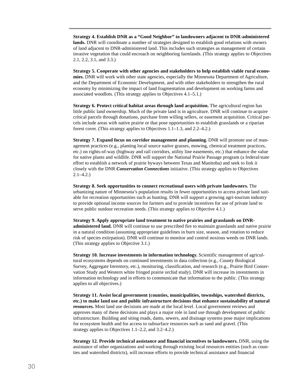**Strategy 4. Establish DNR as a "Good Neighbor" to landowners adjacent to DNR-administered** lands. DNR will coordinate a number of strategies designed to establish good relations with owners of land adjacent to DNR-administered land. This includes such strategies as management of certain invasive vegetation that could encroach on neighboring farmlands. (This strategy applies to Objectives 2.1, 2.2, 3.1, and 3.3.)

**Strategy 5. Cooperate with other agencies and stakeholders to help establish viable rural economies.** DNR will work with other state agencies, especially the Minnesota Department of Agriculture, and the Department of Economic Development, and with other stakeholders to strengthen the rural economy by minimizing the impact of land fragmentation and development on working farms and associated woodlots. (This strategy applies to Objectives 4.1–5.1.)

**Strategy 6. Protect critical habitat areas through land acquisition.** The agricultural region has little public land ownership. Much of the private land is in agriculture. DNR will continue to acquire critical parcels through donations, purchase from willing sellers, or easement acquisition. Critical parcels include areas with native prairie or that pose opportunities to establish grasslands or a riparian forest cover. (This strategy applies to Objectives 1.1–1.3, and 2.2–4.2.)

**Strategy 7. Expand focus on corridor management and planning.** DNR will promote use of management practices (e.g., planting local source native grasses, mowing, chemical treatment practices, etc.) on rights-of-way (highway and rail corridors, utility line easements, etc.) that enhance the value for native plants and wildlife. DNR will support the National Prairie Passage program (a federal/state effort to establish a network of prairie byways between Texas and Manitoba) and seek to link it closely with the DNR *Conservation Connections* initiative. (This strategy applies to Objectives 2.1–4.2.)

**Strategy 8. Seek opportunities to connect recreational users with private landowners.** The urbanizing nature of Minnesota's population results in fewer opportunities to access private land suitable for recreation opportunities such as hunting. DNR will support a growing agri-tourism industry to provide optional income sources for farmers and to provide incentives for use of private land to serve public outdoor recreation needs. (This strategy applies to Objective 4.1.)

**Strategy 9. Apply appropriate land treatment to native prairies and grasslands on DNRadministered land.** DNR will continue to use prescribed fire to maintain grasslands and native prairie in a natural condition (assuming appropriate guidelines in burn size, season, and rotation to reduce risk of species extirpation). DNR will continue to monitor and control noxious weeds on DNR lands. (This strategy applies to Objective 3.1.)

**Strategy 10. Increase investments in information technology.** Scientific management of agricultural ecosystems depends on continued investments in data collection (e.g., County Biological Survey, Aggregate Inventory, etc.), monitoring, classification, and research (e.g., Prairie Bird Conservation Study and Western white fringed prairie orchid study). DNR will increase its investments in information technology and in efforts to communicate that information to the public. (This strategy applies to all objectives.)

**Strategy 11. Assist local government (counties, municipalities, townships, watershed districts, etc.) to make land use and public infrastructure decisions that enhance sustainability of natural resources.** Most land use decisions are made at the local level. Local government reviews and approves many of these decisions and plays a major role in land use through development of public infrastructure. Building and siting roads, dams, sewers, and drainage systems pose major implications for ecosystem health and for access to subsurface resources such as sand and gravel. (This strategy applies to Objectives 1.1–2.2, and 3.2–4.2.)

**Strategy 12. Provide technical assistance and financial incentives to landowners.** DNR, using the assistance of other organizations and working through existing local resources entities (such as counties and watershed districts), will increase efforts to provide technical assistance and financial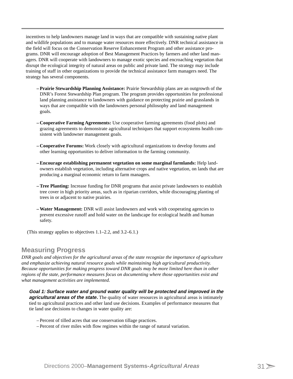incentives to help landowners manage land in ways that are compatible with sustaining native plant and wildlife populations and to manage water resources more effectively. DNR technical assistance in the field will focus on the Conservation Reserve Enhancement Program and other assistance programs. DNR will encourage adoption of Best Management Practices by farmers and other land managers. DNR will cooperate with landowners to manage exotic species and encroaching vegetation that disrupt the ecological integrity of natural areas on public and private land. The strategy may include training of staff in other organizations to provide the technical assistance farm managers need. The strategy has several components.

- **Prairie Stewardship Planning Assistance:** Prairie Stewardship plans are an outgrowth of the DNR's Forest Stewardship Plan program. The program provides opportunities for professional land planning assistance to landowners with guidance on protecting prairie and grasslands in ways that are compatible with the landowners personal philosophy and land management goals.
- **Cooperative Farming Agreements:** Use cooperative farming agreements (food plots) and grazing agreements to demonstrate agricultural techniques that support ecosystems health consistent with landowner management goals.
- **Cooperative Forums:** Work closely with agricultural organizations to develop forums and other learning opportunities to deliver information to the farming community.
- **Encourage establishing permanent vegetation on some marginal farmlands:** Help landowners establish vegetation, including alternative crops and native vegetation, on lands that are producing a marginal economic return to farm managers.
- **Tree Planting:** Increase funding for DNR programs that assist private landowners to establish tree cover in high priority areas, such as in riparian corridors, while discouraging planting of trees in or adjacent to native prairies.
- **Water Management:** DNR will assist landowners and work with cooperating agencies to prevent excessive runoff and hold water on the landscape for ecological health and human safety.

(This strategy applies to objectives 1.1–2.2, and 3.2–6.1.)

# **Measuring Progress**

*DNR goals and objectives for the agricultural areas of the state recognize the importance of agriculture and emphasize achieving natural resource goals while maintaining high agricultural productivity. Because opportunities for making progress toward DNR goals may be more limited here than in other regions of the state, performance measures focus on documenting where those opportunities exist and what management activities are implemented.*

**Goal 1: Surface water and ground water quality will be protected and improved in the agricultural areas of the state.** The quality of water resources in agricultural areas is intimately tied to agricultural practices and other land use decisions. Examples of performance measures that tie land use decisions to changes in water quality are:

- Percent of tilled acres that use conservation tillage practices.
- Percent of river miles with flow regimes within the range of natural variation.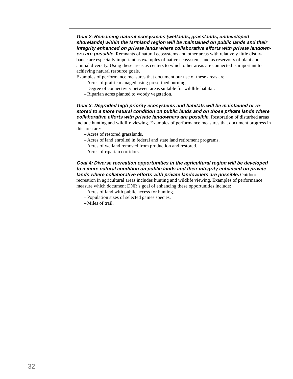**Goal 2: Remaining natural ecosystems (wetlands, grasslands, undeveloped shorelands) within the farmland region will be maintained on public lands and their integrity enhanced on private lands where collaborative efforts with private landown-**

**ers are possible.** Remnants of natural ecosystems and other areas with relatively little disturbance are especially important as examples of native ecosystems and as reservoirs of plant and animal diversity. Using these areas as centers to which other areas are connected is important to achieving natural resource goals.

Examples of performance measures that document our use of these areas are:

- Acres of prairie managed using prescribed burning.
- Degree of connectivity between areas suitable for wildlife habitat.
- Riparian acres planted to woody vegetation.

**Goal 3: Degraded high priority ecosystems and habitats will be maintained or restored to a more natural condition on public lands and on those private lands where collaborative efforts with private landowners are possible.** Restoration of disturbed areas include hunting and wildlife viewing. Examples of performance measures that document progress in this area are:

- Acres of restored grasslands.
- Acres of land enrolled in federal and state land retirement programs.
- Acres of wetland removed from production and restored.
- Acres of riparian corridors.

**Goal 4: Diverse recreation opportunities in the agricultural region will be developed to a more natural condition on public lands and their integrity enhanced on private lands where collaborative efforts with private landowners are possible.** Outdoor

recreation in agricultural areas includes hunting and wildlife viewing. Examples of performance measure which document DNR's goal of enhancing these opportunities include:

- Acres of land with public access for hunting.
- Population sizes of selected games species.
- Miles of trail.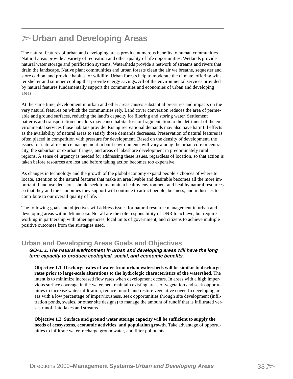# **Urban and Developing Areas**

The natural features of urban and developing areas provide numerous benefits to human communities. Natural areas provide a variety of recreation and other quality of life opportunities. Wetlands provide natural water storage and purification systems. Watersheds provide a network of streams and rivers that drain the landscape. Native plant communities and urban forests clean the air we breathe, sequester and store carbon, and provide habitat for wildlife. Urban forests help to moderate the climate, offering winter shelter and summer cooling that provide energy savings. All of the environmental services provided by natural features fundamentally support the communities and economies of urban and developing areas.

At the same time, development in urban and other areas causes substantial pressures and impacts on the very natural features on which the communities rely. Land cover conversion reduces the area of permeable and ground surfaces, reducing the land's capacity for filtering and storing water. Settlement patterns and transportation corridors may cause habitat loss or fragmentation to the detriment of the environmental services those habitats provide. Rising recreational demands may also have harmful effects as the availability of natural areas to satisfy those demands decreases. Preservation of natural features is often placed in competition with pressure for development. Based on the density of development, the issues for natural resource management in built environments will vary among the urban core or central city, the suburban or exurban fringes, and areas of lakeshore development in predominately rural regions. A sense of urgency is needed for addressing these issues, regardless of location, so that action is taken before resources are lost and before taking action becomes too expensive.

As changes in technology and the growth of the global economy expand people's choices of where to locate, attention to the natural features that make an area livable and desirable becomes all the more important. Land use decisions should seek to maintain a healthy environment and healthy natural resources so that they and the economies they support will continue to attract people, business, and industries to contribute to our overall quality of life.

The following goals and objectives will address issues for natural resource management in urban and developing areas within Minnesota. Not all are the sole responsibility of DNR to achieve, but require working in partnership with other agencies, local units of government, and citizens to achieve multiple positive outcomes from the strategies used.

## **Urban and Developing Areas Goals and Objectives**

**GOAL 1. The natural environment in urban and developing areas will have the long term capacity to produce ecological, social, and economic benefits.**

**Objective 1.1. Discharge rates of water from urban watersheds will be similar to discharge rates prior to large-scale alterations to the hydrologic characteristics of the watershed.** The intent is to minimize increased flow rates when development occurs. In areas with a high impervious surface coverage in the watershed, maintain existing areas of vegetation and seek opportunities to increase water infiltration, reduce runoff, and restore vegetative cover. In developing areas with a low percentage of imperviousness, seek opportunities through site development (infiltration ponds, swales, or other site designs) to manage the amount of runoff that is infiltrated versus runoff into lakes and streams.

**Objective 1.2. Surface and ground water storage capacity will be sufficient to supply the needs of ecosystems, economic activities, and population growth.** Take advantage of opportunities to infiltrate water, recharge groundwater, and filter pollutants.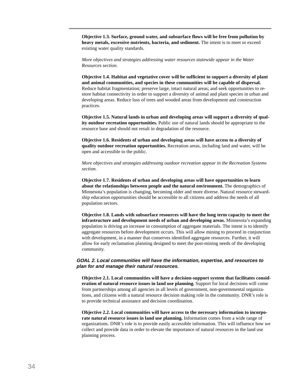**Objective 1.3. Surface, ground water, and subsurface flows will be free from pollution by heavy metals, excessive nutrients, bacteria, and sediment.** The intent is to meet or exceed existing water quality standards.

*More objectives and strategies addressing water resources statewide appear in the Water Resources section.*

**Objective 1.4. Habitat and vegetative cover will be sufficient to support a diversity of plant and animal communities, and species in these communities will be capable of dispersal.** Reduce habitat fragmentation; preserve large, intact natural areas; and seek opportunities to restore habitat connectivity in order to support a diversity of animal and plant species in urban and developing areas. Reduce loss of trees and wooded areas from development and construction practices.

**Objective 1.5. Natural lands in urban and developing areas will support a diversity of quality outdoor recreation opportunities.** Public use of natural lands should be appropriate to the resource base and should not result in degradation of the resource.

**Objective 1.6. Residents of urban and developing areas will have access to a diversity of quality outdoor recreation opportunities.** Recreation areas, including land and water, will be open and accessible to the public.

*More objectives and strategies addressing outdoor recreation appear in the Recreation Systems section.*

**Objective 1.7. Residents of urban and developing areas will have opportunities to learn about the relationships between people and the natural environment.** The demographics of Minnesota's population is changing, becoming older and more diverse. Natural resource stewardship education opportunities should be accessible to all citizens and address the needs of all population sectors.

**Objective 1.8. Lands with subsurface resources will have the long term capacity to meet the infrastructure and development needs of urban and developing areas.** Minnesota's expanding population is driving an increase in consumption of aggregate materials. The intent is to identify aggregate resources before development occurs. This will allow mining to proceed in conjunction with development, in a manner that conserves identified aggregate resources. Further, it will allow for early reclamation planning designed to meet the post-mining needs of the developing community.

#### **GOAL 2. Local communities will have the information, expertise, and resources to plan for and manage their natural resources.**

**Objective 2.1. Local communities will have a decision-support system that facilitates consideration of natural resource issues in land use planning.** Support for local decisions will come from partnerships among all agencies in all levels of government, non-governmental organizations, and citizens with a natural resource decision making role in the community. DNR's role is to provide technical assistance and decision coordination.

**Objective 2.2. Local communities will have access to the necessary information to incorporate natural resource issues in land use planning.** Information comes from a wide range of organizations. DNR's role is to provide easily accessible information. This will influence how we collect and provide data in order to elevate the importance of natural resources in the land use planning process.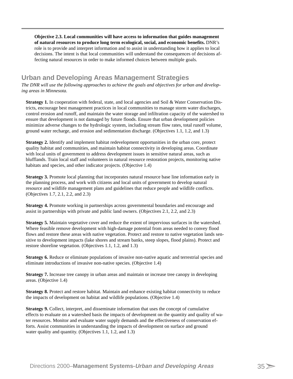**Objective 2.3. Local communities will have access to information that guides management of natural resources to produce long term ecological, social, and economic benefits.** DNR's role is to provide and interpret information and to assist in understanding how it applies to local decisions. The intent is that local communities will understand the consequences of decisions affecting natural resources in order to make informed choices between multiple goals.

# **Urban and Developing Areas Management Strategies**

*The DNR will use the following approaches to achieve the goals and objectives for urban and developing areas in Minnesota.*

**Strategy 1.** In cooperation with federal, state, and local agencies and Soil & Water Conservation Districts, encourage best management practices in local communities to manage storm water discharges, control erosion and runoff, and maintain the water storage and infiltration capacity of the watershed to ensure that development is not damaged by future floods. Ensure that urban development policies minimize adverse changes to the hydrologic system, including stream flow rates, total runoff volume, ground water recharge, and erosion and sedimentation discharge. (Objectives 1.1, 1.2, and 1.3)

**Strategy 2.** Identify and implement habitat redevelopment opportunities in the urban core, protect quality habitat and communities, and maintain habitat connectivity in developing areas. Coordinate with local units of government to address development issues in sensitive natural areas, such as blufflands. Train local staff and volunteers in natural resource restoration projects, monitoring native habitats and species, and other indicator projects. (Objective 1.4)

**Strategy 3.** Promote local planning that incorporates natural resource base line information early in the planning process, and work with citizens and local units of government to develop natural resource and wildlife management plans and guidelines that reduce people and wildlife conflicts. (Objectives 1.7, 2.1, 2.2, and 2.3)

**Strategy 4.** Promote working in partnerships across governmental boundaries and encourage and assist in partnerships with private and public land owners. (Objectives 2.1, 2.2, and 2.3)

**Strategy 5.** Maintain vegetative cover and reduce the extent of impervious surfaces in the watershed. Where feasible remove development with high-damage potential from areas needed to convey flood flows and restore these areas with native vegetation. Protect and restore to native vegetation lands sensitive to development impacts (lake shores and stream banks, steep slopes, flood plains). Protect and restore shoreline vegetation. (Objectives 1.1, 1.2, and 1.3)

**Strategy 6.** Reduce or eliminate populations of invasive non-native aquatic and terrestrial species and eliminate introductions of invasive non-native species. (Objective 1.4)

**Strategy 7.** Increase tree canopy in urban areas and maintain or increase tree canopy in developing areas. (Objective 1.4)

**Strategy 8.** Protect and restore habitat. Maintain and enhance existing habitat connectivity to reduce the impacts of development on habitat and wildlife populations. (Objective 1.4)

**Strategy 9.** Collect, interpret, and disseminate information that uses the concept of cumulative effects to evaluate on a watershed basis the impacts of development on the quantity and quality of water resources. Monitor and evaluate water supply demands and the effectiveness of conservation efforts. Assist communities in understanding the impacts of development on surface and ground water quality and quantity. (Objectives 1.1, 1.2, and 1.3)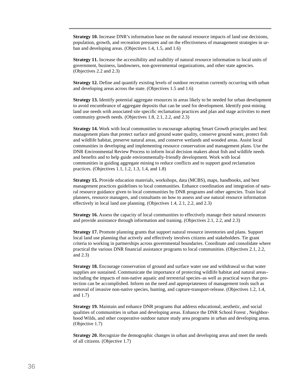**Strategy 10.** Increase DNR's information base on the natural resource impacts of land use decisions, population, growth, and recreation pressures and on the effectiveness of management strategies in urban and developing areas. (Objectives 1.4, 1.5, and 1.6)

**Strategy 11.** Increase the accessibility and usability of natural resource information to local units of government, business, landowners, non-governmental organizations, and other state agencies. (Objectives 2.2 and 2.3)

**Strategy 12.** Define and quantify existing levels of outdoor recreation currently occurring with urban and developing areas across the state. (Objectives 1.5 and 1.6)

**Strategy 13.** Identify potential aggregate resources in areas likely to be needed for urban development to avoid encumbrance of aggregate deposits that can be used for development. Identify post-mining land use needs with associated site specific reclamation practices and plan and stage activities to meet community growth needs. (Objectives 1.8, 2.1, 2.2, and 2.3)

**Strategy 14.** Work with local communities to encourage adopting Smart Growth principles and best management plans that protect surface and ground water quality, conserve ground water, protect fish and wildlife habitat, preserve natural areas, and conserve wetlands and wooded areas. Assist local communities in developing and implementing resource conservation and management plans. Use the DNR Environmental Review Process to inform local decision makers about fish and wildlife needs and benefits and to help guide environmentally-friendly development. Work with local communities in guiding aggregate mining to reduce conflicts and to support good reclamation practices. (Objectives 1.1, 1.2, 1.3, 1.4, and 1.8)

**Strategy 15.** Provide education materials, workshops, data (MCBS), maps, handbooks, and best management practices guidelines to local communities. Enhance coordination and integration of natural resource guidance given to local communities by DNR programs and other agencies. Train local planners, resource managers, and consultants on how to assess and use natural resource information effectively in local land use planning. (Objectives 1.4, 2.1, 2.2, and 2.3)

**Strategy 16.** Assess the capacity of local communities to effectively manage their natural resources and provide assistance through information and training. (Objectives 2.1, 2.2, and 2.3)

**Strategy 17.** Promote planning grants that support natural resource inventories and plans. Support local land use planning that actively and effectively involves citizens and stakeholders. Tie grant criteria to working in partnerships across governmental boundaries. Coordinate and consolidate where practical the various DNR financial assistance programs to local communities. (Objectives 2.1, 2.2, and 2.3)

**Strategy 18.** Encourage conservation of ground and surface water use and withdrawal so that water supplies are sustained. Communicate the importance of protecting wildlife habitat and natural areas– including the impacts of non-native aquatic and terrestrial species–as well as practical ways that protection can be accomplished. Inform on the need and appropriateness of management tools such as removal of invasive non-native species, hunting, and capture-transport-release. (Objectives 1.2, 1.4, and 1.7)

**Strategy 19.** Maintain and enhance DNR programs that address educational, aesthetic, and social qualities of communities in urban and developing areas. Enhance the DNR School Forest , Neighborhood Wilds, and other cooperative outdoor nature study area programs in urban and developing areas. (Objective 1.7)

**Strategy 20.** Recognize the demographic changes in urban and developing areas and meet the needs of all citizens. (Objective 1.7)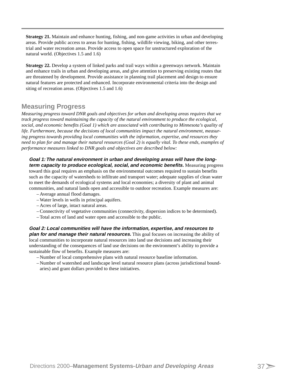**Strategy 21.** Maintain and enhance hunting, fishing, and non-game activities in urban and developing areas. Provide public access to areas for hunting, fishing, wildlife viewing, biking, and other terrestrial and water recreation areas. Provide access to open space for unstructured exploration of the natural world. (Objectives 1.5 and 1.6)

**Strategy 22.** Develop a system of linked parks and trail ways within a greenways network. Maintain and enhance trails in urban and developing areas, and give attention to preserving existing routes that are threatened by development. Provide assistance in planning trail placement and design to ensure natural features are protected and enhanced. Incorporate environmental criteria into the design and siting of recreation areas. (Objectives 1.5 and 1.6)

# **Measuring Progress**

*Measuring progress toward DNR goals and objectives for urban and developing areas requires that we track progress toward maintaining the capacity of the natural environment to produce the ecological, social, and economic benefits (Goal 1) which are associated with contributing to Minnesota's quality of life. Furthermore, because the decisions of local communities impact the natural environment, measuring progress towards providing local communities with the information, expertise, and resources they need to plan for and manage their natural resources (Goal 2) is equally vital. To these ends, examples of performance measures linked to DNR goals and objectives are described below:*

**Goal 1: The natural environment in urban and developing areas will have the longterm capacity to produce ecological, social, and economic benefits.** Measuring progress toward this goal requires an emphasis on the environmental outcomes required to sustain benefits such as the capacity of watersheds to infiltrate and transport water; adequate supplies of clean water to meet the demands of ecological systems and local economies; a diversity of plant and animal communities, and natural lands open and accessible to outdoor recreation. Example measures are:

- Average annual flood damages.
- Water levels in wells in principal aquifers.
- Acres of large, intact natural areas.
- Connectivity of vegetative communities (connectivity, dispersion indices to be determined).
- Total acres of land and water open and accessible to the public.

#### **Goal 2: Local communities will have the information, expertise, and resources to plan for and manage their natural resources.** This goal focuses on increasing the ability of local communities to incorporate natural resources into land use decisions and increasing their understanding of the consequences of land use decisions on the environment's ability to provide a sustainable flow of benefits. Example measures are:

- Number of local comprehensive plans with natural resource baseline information.
- Number of watershed and landscape level natural resource plans (across jurisdictional boundaries) and grant dollars provided to these initiatives.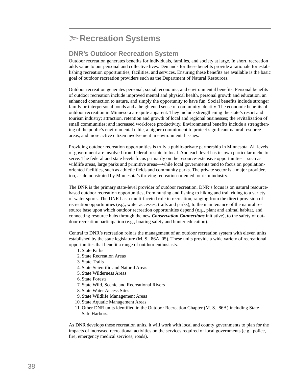# **Recreation Systems**

# **DNR's Outdoor Recreation System**

Outdoor recreation generates benefits for individuals, families, and society at large. In short, recreation adds value to our personal and collective lives. Demands for these benefits provide a rationale for establishing recreation opportunities, facilities, and services. Ensuring these benefits are available is the basic goal of outdoor recreation providers such as the Department of Natural Resources.

Outdoor recreation generates personal, social, economic, and environmental benefits. Personal benefits of outdoor recreation include improved mental and physical health, personal growth and education, an enhanced connection to nature, and simply the opportunity to have fun. Social benefits include stronger family or interpersonal bonds and a heightened sense of community identity. The economic benefits of outdoor recreation in Minnesota are quite apparent. They include strengthening the state's resort and tourism industry; attraction, retention and growth of local and regional businesses; the revitalization of small communities; and increased workforce productivity. Environmental benefits include a strengthening of the public's environmental ethic, a higher commitment to protect significant natural resource areas, and more active citizen involvement in environmental issues.

Providing outdoor recreation opportunities is truly a public-private partnership in Minnesota. All levels of government are involved from federal to state to local. And each level has its own particular niche to serve. The federal and state levels focus primarily on the resource-extensive opportunities—such as wildlife areas, large parks and primitive areas—while local governments tend to focus on populationoriented facilities, such as athletic fields and community parks. The private sector is a major provider, too, as demonstrated by Minnesota's thriving recreation-oriented tourism industry.

The DNR is the primary state-level provider of outdoor recreation. DNR's focus is on natural resourcebased outdoor recreation opportunities, from hunting and fishing to hiking and trail riding to a variety of water sports. The DNR has a multi-faceted role in recreation, ranging from the direct provision of recreation opportunities (e.g., water accesses, trails and parks), to the maintenance of the natural resource base upon which outdoor recreation opportunities depend (e.g., plant and animal habitat, and connecting resource hubs through the new *Conservation Connections* initiative), to the safety of outdoor recreation participation (e.g., boating safety and hunter education).

Central to DNR's recreation role is the management of an outdoor recreation system with eleven units established by the state legislature (M. S. 86A. 05). These units provide a wide variety of recreational opportunities that benefit a range of outdoor enthusiasts.

- 1. State Parks
- 2. State Recreation Areas
- 3. State Trails
- 4. State Scientific and Natural Areas
- 5. State Wilderness Areas
- 6. State Forests
- 7. State Wild, Scenic and Recreational Rivers
- 8. State Water Access Sites
- 9. State Wildlife Management Areas
- 10. State Aquatic Management Areas
- 11. Other DNR units identified in the Outdoor Recreation Chapter (M. S. 86A) including State Safe Harbors.

As DNR develops these recreation units, it will work with local and county governments to plan for the impacts of increased recreational activities on the services required of local governments (e.g., police, fire, emergency medical services, roads).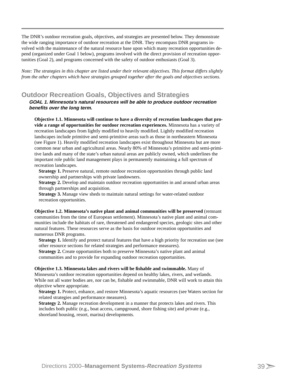The DNR's outdoor recreation goals, objectives, and strategies are presented below. They demonstrate the wide ranging importance of outdoor recreation at the DNR. They encompass DNR programs involved with the maintenance of the natural resource base upon which many recreation opportunities depend (organized under Goal 1 below), programs involved with the direct provision of recreation opportunities (Goal 2), and programs concerned with the safety of outdoor enthusiasts (Goal 3).

*Note: The strategies in this chapter are listed under their relevant objectives. This format differs slightly from the other chapters which have strategies grouped together after the goals and objectives sections.*

## **Outdoor Recreation Goals, Objectives and Strategies**

**GOAL 1. Minnesota's natural resources will be able to produce outdoor recreation benefits over the long term.**

**Objective 1.1. Minnesota will continue to have a diversity of recreation landscapes that provide a range of opportunities for outdoor recreation experiences.** Minnesota has a variety of recreation landscapes from lightly modified to heavily modified. Lightly modified recreation landscapes include primitive and semi-primitive areas such as those in northeastern Minnesota (see Figure 1). Heavily modified recreation landscapes exist throughout Minnesota but are more common near urban and agricultural areas. Nearly 80% of Minnesota's primitive and semi-primitive lands and many of the state's urban natural areas are publicly owned, which underlines the important role public land management plays in permanently maintaining a full spectrum of recreation landscapes.

**Strategy 1.** Preserve natural, remote outdoor recreation opportunities through public land ownership and partnerships with private landowners.

**Strategy 2.** Develop and maintain outdoor recreation opportunities in and around urban areas through partnerships and acquisition.

**Strategy 3.** Manage view sheds to maintain natural settings for water-related outdoor recreation opportunities.

**Objective 1.2. Minnesota's native plant and animal communities will be preserved** (remnant communities from the time of European settlement). Minnesota's native plant and animal communities include the habitats of rare, threatened and endangered species, geologic sites and other natural features. These resources serve as the basis for outdoor recreation opportunities and numerous DNR programs.

**Strategy 1.** Identify and protect natural features that have a high priority for recreation use (see other resource sections for related strategies and performance measures).

**Strategy 2.** Create opportunities both to preserve Minnesota's native plant and animal communities and to provide for expanding outdoor recreation opportunities.

**Objective 1.3. Minnesota lakes and rivers will be fishable and swimmable.** Many of Minnesota's outdoor recreation opportunities depend on healthy lakes, rivers, and wetlands. While not all water bodies are, nor can be, fishable and swimmable, DNR will work to attain this objective where appropriate.

**Strategy 1.** Protect, enhance, and restore Minnesota's aquatic resources (see Waters section for related strategies and performance measures).

**Strategy 2.** Manage recreation development in a manner that protects lakes and rivers. This includes both public (e.g., boat access, campground, shore fishing site) and private (e.g., shoreland housing, resort, marina) developments.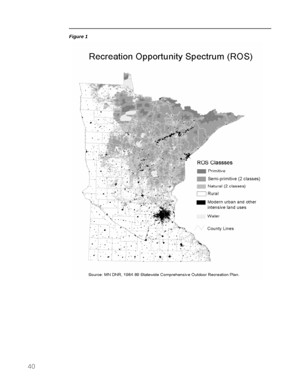



Source: MN DNR, 1984-89 Statewide Comprehensive Outdoor Recreation Plan.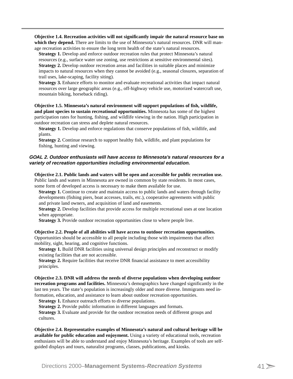**Objective 1.4. Recreation activities will not significantly impair the natural resource base on which they depend.** There are limits to the use of Minnesota's natural resources. DNR will manage recreation activities to ensure the long term health of the state's natural resources.

**Strategy 1.** Develop and enforce outdoor recreation rules that protect Minnesota's natural resources (e.g., surface water use zoning, use restrictions at sensitive environmental sites). **Strategy 2.** Develop outdoor recreation areas and facilities in suitable places and minimize impacts to natural resources when they cannot be avoided (e.g., seasonal closures, separation of trail uses, lake-scaping, facility siting).

**Strategy 3.** Enhance efforts to monitor and evaluate recreational activities that impact natural resources over large geographic areas (e.g., off-highway vehicle use, motorized watercraft use, mountain biking, horseback riding).

**Objective 1.5. Minnesota's natural environment will support populations of fish, wildlife, and plant species to sustain recreational opportunities.** Minnesota has some of the highest participation rates for hunting, fishing, and wildlife viewing in the nation. High participation in outdoor recreation can stress and deplete natural resources.

**Strategy 1.** Develop and enforce regulations that conserve populations of fish, wildlife, and plants.

**Strategy 2.** Continue research to support healthy fish, wildlife, and plant populations for fishing, hunting and viewing.

#### **GOAL 2. Outdoor enthusiasts will have access to Minnesota's natural resources for a variety of recreation opportunities including environmental education.**

**Objective 2.1. Public lands and waters will be open and accessible for public recreation use.** Public lands and waters in Minnesota are owned in common by state residents. In most cases, some form of developed access is necessary to make them available for use.

**Strategy 1.** Continue to create and maintain access to public lands and waters through facility developments (fishing piers, boat accesses, trails, etc.), cooperative agreements with public and private land owners, and acquisition of land and easements.

**Strategy 2.** Develop facilities that provide access for multiple recreational uses at one location when appropriate.

**Strategy 3.** Provide outdoor recreation opportunities close to where people live.

#### **Objective 2.2. People of all abilities will have access to outdoor recreation opportunities.**

Opportunities should be accessible to all people including those with impairments that affect mobility, sight, hearing, and cognitive functions.

**Strategy 1.** Build DNR facilities using universal design principles and reconstruct or modify existing facilities that are not accessible.

**Strategy 2.** Require facilities that receive DNR financial assistance to meet accessibility principles.

#### **Objective 2.3. DNR will address the needs of diverse populations when developing outdoor**

**recreation programs and facilities.** Minnesota's demographics have changed significantly in the last ten years. The state's population is increasingly older and more diverse. Immigrants need information, education, and assistance to learn about outdoor recreation opportunities.

**Strategy 1.** Enhance outreach efforts to diverse populations.

**Strategy 2.** Provide public information in different languages and formats.

**Strategy 3.** Evaluate and provide for the outdoor recreation needs of different groups and cultures.

**Objective 2.4. Representative examples of Minnesota's natural and cultural heritage will be available for public education and enjoyment.** Using a variety of educational tools, recreation enthusiasts will be able to understand and enjoy Minnesota's heritage. Examples of tools are selfguided displays and tours, naturalist programs, classes, publications, and kiosks.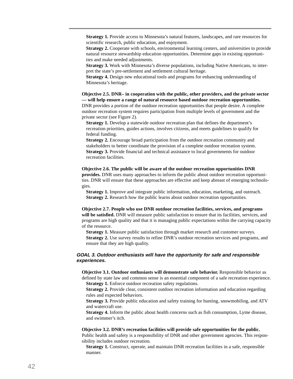**Strategy 1.** Provide access to Minnesota's natural features, landscapes, and rare resources for scientific research, public education, and enjoyment.

**Strategy 2.** Cooperate with schools, environmental learning centers, and universities to provide natural resource stewardship education opportunities. Determine gaps in existing opportunities and make needed adjustments.

**Strategy 3.** Work with Minnesota's diverse populations, including Native Americans, to interpret the state's pre-settlement and settlement cultural heritage.

**Strategy 4.** Design new educational tools and programs for enhancing understanding of Minnesota's heritage.

**Objective 2.5. DNR– in cooperation with the public, other providers, and the private sector — will help ensure a range of natural resource based outdoor recreation opportunities.** DNR provides a portion of the outdoor recreation opportunities that people desire. A complete outdoor recreation system requires participation from multiple levels of government and the private sector (see Figure 2).

**Strategy 1.** Develop a statewide outdoor recreation plan that defines the department's recreation priorities, guides actions, involves citizens, and meets guidelines to qualify for federal funding.

**Strategy 2.** Encourage broad participation from the outdoor recreation community and stakeholders to better coordinate the provision of a complete outdoor recreation system. **Strategy 3.** Provide financial and technical assistance to local governments for outdoor recreation facilities.

#### **Objective 2.6. The public will be aware of the outdoor recreation opportunities DNR**

**provides.** DNR uses many approaches to inform the public about outdoor recreation opportunities. DNR will ensure that these approaches are effective and keep abreast of emerging technologies.

**Strategy 1.** Improve and integrate public information, education, marketing, and outreach. **Strategy 2.** Research how the public learns about outdoor recreation opportunities.

**Objective 2.7. People who use DNR outdoor recreation facilities, services, and programs will be satisfied.** DNR will measure public satisfaction to ensure that its facilities, services, and programs are high quality and that it is managing public expectations within the carrying capacity of the resource.

**Strategy 1.** Measure public satisfaction through market research and customer surveys. **Strategy 2.** Use survey results to refine DNR's outdoor recreation services and programs, and ensure that they are high quality.

#### **GOAL 3. Outdoor enthusiasts will have the opportunity for safe and responsible experiences.**

**Objective 3.1. Outdoor enthusiasts will demonstrate safe behavior.** Responsible behavior as defined by state law and common sense is an essential component of a safe recreation experience.

**Strategy 1.** Enforce outdoor recreation safety regulations. **Strategy 2.** Provide clear, consistent outdoor recreation information and education regarding

rules and expected behaviors.

**Strategy 3.** Provide public education and safety training for hunting, snowmobiling, and ATV and watercraft use.

**Strategy 4.** Inform the public about health concerns such as fish consumption, Lyme disease, and swimmer's itch.

**Objective 3.2. DNR's recreation facilities will provide safe opportunities for the public.**

Public health and safety is a responsibility of DNR and other government agencies. This responsibility includes outdoor recreation.

**Strategy 1.** Construct, operate, and maintain DNR recreation facilities in a safe, responsible manner.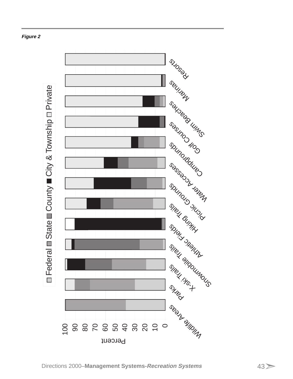

# **Figure 2**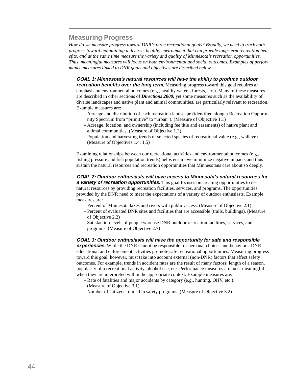# **Measuring Progress**

*How do we measure progress toward DNR's three recreational goals? Broadly, we need to track both progress toward maintaining a diverse, healthy environment that can provide long-term recreation benefits, and at the same time measure the variety and quality of Minnesota's recreation opportunities. Thus, meaningful measures will focus on both environmental and social outcomes. Examples of performance measures linked to DNR goals and objectives are described below.*

**GOAL 1: Minnesota's natural resources will have the ability to produce outdoor**

**recreation benefits over the long term**. Measuring progress toward this goal requires an emphasis on environmental outcomes (e.g., healthy waters, forests, etc.). Many of these measures are described in other sections of *Directions 2000,* yet some measures such as the availability of diverse landscapes and native plant and animal communities, are particularly relevant to recreation. Example measures are:

- Acreage and distribution of each recreation landscape (identified along a Recreation Opportunity Spectrum from "primitive" to "urban"). (Measure of Objective 1.1)
- Acreage, location, and ownership (including fee title and easements) of native plant and animal communities. (Measure of Objective 1.2)
- Population and harvesting trends of selected species of recreational value (e.g., walleye). (Measure of Objectives 1.4, 1.5)

Examining relationships between our recreational activities and environmental outcomes (e.g., fishing pressure and fish population trends) helps ensure we minimize negative impacts and thus sustain the natural resources and recreation opportunities that Minnesotans care about so deeply.

**GOAL 2: Outdoor enthusiasts will have access to Minnesota's natural resources for a variety of recreation opportunities.** This goal focuses on creating opportunities to use natural resources by providing recreation facilities, services, and programs. The opportunities provided by the DNR need to meet the expectations of a variety of outdoor enthusiasts. Example measures are:

- Percent of Minnesota lakes and rivers with public access. (Measure of Objective 2.1)
- Percent of evaluated DNR sites and facilities that are accessible (trails, buildings). (Measure of Objective 2.2)
- Satisfaction levels of people who use DNR outdoor recreation facilities, services, and programs. (Measure of Objective 2.7)

**GOAL 3: Outdoor enthusiasts will have the opportunity for safe and responsible**

**experiences.** While the DNR cannot be responsible for personal choices and behaviors, DNR's educational and enforcement activities promote safe recreational opportunities. Measuring progress toward this goal, however, must take into account external (non-DNR) factors that affect safety outcomes. For example, trends in accident rates are the result of many factors: length of a season, popularity of a recreational activity, alcohol use, etc. Performance measures are most meaningful when they are interpreted within the appropriate context. Example measures are:

- Rate of fatalities and major accidents by category (e.g., hunting, OHV, etc.). (Measure of Objective 3.1)
- Number of Citizens trained in safety programs. (Measure of Objective 3.2)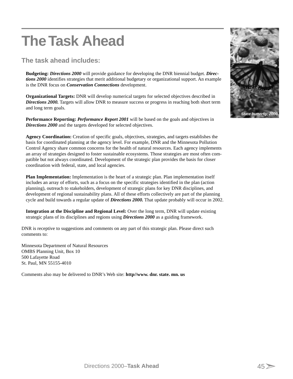# **The Task Ahead**

# **The task ahead includes:**

**Budgeting:** *Directions 2000* will provide guidance for developing the DNR biennial budget. *Directions 2000* identifies strategies that merit additional budgetary or organizational support. An example is the DNR focus on *Conservation Connections* development.

**Organizational Targets:** DNR will develop numerical targets for selected objectives described in *Directions 2000.* Targets will allow DNR to measure success or progress in reaching both short term and long term goals.

**Performance Reporting:** *Performance Report 2001* will be based on the goals and objectives in **Directions 2000** and the targets developed for selected objectives.

**Agency Coordination:** Creation of specific goals, objectives, strategies, and targets establishes the basis for coordinated planning at the agency level. For example, DNR and the Minnesota Pollution Control Agency share common concerns for the health of natural resources. Each agency implements an array of strategies designed to foster sustainable ecosystems. Those strategies are most often compatible but not always coordinated. Development of the strategic plan provides the basis for closer coordination with federal, state, and local agencies.

**Plan Implementation:** Implementation is the heart of a strategic plan. Plan implementation itself includes an array of efforts, such as a focus on the specific strategies identified in the plan (action planning), outreach to stakeholders, development of strategic plans for key DNR disciplines, and development of regional sustainability plans. All of these efforts collectively are part of the planning cycle and build towards a regular update of *Directions 2000.* That update probably will occur in 2002.

**Integration at the Discipline and Regional Level:** Over the long term, DNR will update existing strategic plans of its disciplines and regions using *Directions 2000* as a guiding framework.

DNR is receptive to suggestions and comments on any part of this strategic plan. Please direct such comments to:

Minnesota Department of Natural Resources OMBS Planning Unit, Box 10 500 Lafayette Road St. Paul, MN 55155-4010

Comments also may be delivered to DNR's Web site: **http//www. dnr. state. mn. us**